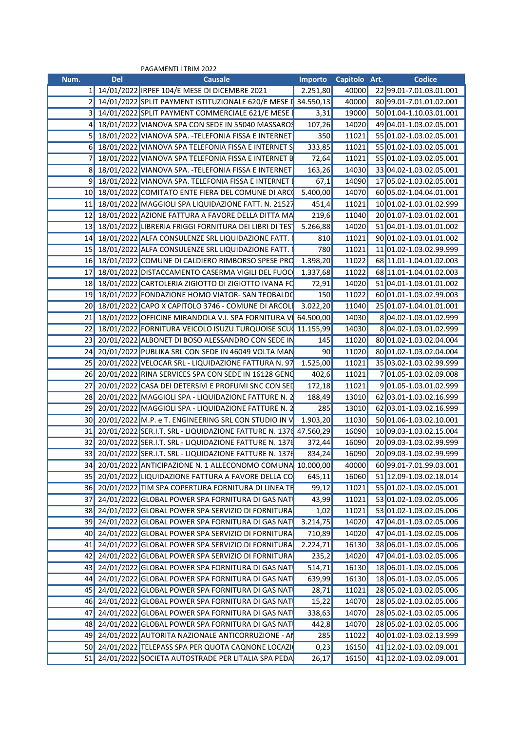|      |            | PAGAMENTI I TRIM 2022                                               |                                            |               |                               |
|------|------------|---------------------------------------------------------------------|--------------------------------------------|---------------|-------------------------------|
| Num. | <b>Del</b> | <b>Causale</b>                                                      | <b>Importo</b>                             | Capitolo Art. | <b>Codice</b>                 |
|      |            | 1 14/01/2022 IRPEF 104/E MESE DI DICEMBRE 2021                      | 2.251,80                                   | 40000         | 22 99.01-7.01.03.01.001       |
|      |            | 2 14/01/2022 SPLIT PAYMENT ISTITUZIONALE 620/E MESE                 | $\begin{bmatrix} 34.550, 13 \end{bmatrix}$ | 40000         | 80 99.01-7.01.01.02.001       |
|      |            | 3 14/01/2022 SPLIT PAYMENT COMMERCIALE 621/E MESE                   | 3,31                                       | 19000         | 50 01.04-1.10.03.01.001       |
|      |            | 18/01/2022 VIANOVA SPA CON SEDE IN 55040 MASSAROS                   | 107,26                                     | 14020         | 49 04.01-1.03.02.05.001       |
|      |            | 18/01/2022 VIANOVA SPA. -TELEFONIA FISSA E INTERNET                 | 350                                        | 11021         | 55 01.02-1.03.02.05.001       |
|      |            | 6 18/01/2022 VIANOVA SPA TELEFONIA FISSA E INTERNET S               | 333,85                                     | 11021         | 55 01.02-1.03.02.05.001       |
|      |            | 18/01/2022 VIANOVA SPA TELEFONIA FISSA E INTERNET                   | 72,64                                      | 11021         | 55 01.02-1.03.02.05.001       |
|      |            | 8 18/01/2022 VIANOVA SPA. - TELEFONIA FISSA E INTERNET              | 163,26                                     | 14030         | 33 04.02-1.03.02.05.001       |
|      |            | 18/01/2022 VIANOVA SPA. TELEFONIA FISSA E INTERNET                  | 67,1                                       | 14090         | 17 05.02-1.03.02.05.001       |
|      |            | 10 18/01/2022 COMITATO ENTE FIERA DEL COMUNE DI ARCO                | 5.400,00                                   | 14070         | 60 05.02-1.04.04.01.001       |
|      |            | 11 18/01/2022 MAGGIOLI SPA LIQUIDAZIONE FATT. N. 2152               | 451,4                                      | 11021         | 10 01.02-1.03.01.02.999       |
|      |            | 12 18/01/2022 AZIONE FATTURA A FAVORE DELLA DITTA MA                | 219,6                                      | 11040         | 20 01.07-1.03.01.02.001       |
|      |            |                                                                     |                                            | 14020         |                               |
|      |            | 13 18/01/2022 LIBRERIA FRIGGI FORNITURA DEI LIBRI DI TEST           | 5.266,88                                   |               | 51 04.01-1.03.01.01.002       |
|      |            | 14 18/01/2022 ALFA CONSULENZE SRL LIQUIDAZIONE FATT                 | 810                                        | 11021         | 90 01.02-1.03.01.01.002       |
|      |            | 15 18/01/2022 ALFA CONSULENZE SRL LIQUIDAZIONE FATT                 | 780                                        | 11021         | 11 01.02-1.03.02.99.999       |
|      |            | 16 18/01/2022 COMUNE DI CALDIERO RIMBORSO SPESE PRO                 | 1.398,20                                   | 11022         | 68 11.01-1.04.01.02.003       |
|      |            | 17 18/01/2022 DISTACCAMENTO CASERMA VIGILI DEL FUOC                 | 1.337,68                                   | 11022         | 68 11.01-1.04.01.02.003       |
|      |            | 18 18/01/2022 CARTOLERIA ZIGIOTTO DI ZIGIOTTO IVANA FO              | 72,91                                      | 14020         | 51 04.01-1.03.01.01.002       |
|      |            | 19 18/01/2022 FONDAZIONE HOMO VIATOR- SAN TEOBALDO                  | 150                                        | 11022         | 60 01.01-1.03.02.99.003       |
|      |            | 20 18/01/2022 CAPO X CAPITOLO 3746 - COMUNE DI ARCOLI               | 3.022,20                                   | 11040         | 25 01.07-1.04.01.01.001       |
|      |            | 21 18/01/2022 OFFICINE MIRANDOLA V.I. SPA FORNITURA V 64.500,00     |                                            | 14030         | 804.02-1.03.01.02.999         |
|      |            | 22 18/01/2022 FORNITURA VEICOLO ISUZU TURQUOISE SCU                 | 11.155,99                                  | 14030         | 804.02-1.03.01.02.999         |
|      |            | 23 20/01/2022 ALBONET DI BOSO ALESSANDRO CON SEDE I                 | 145                                        | 11020         | 80 01.02-1.03.02.04.004       |
|      |            | 24 20/01/2022 PUBLIKA SRL CON SEDE IN 46049 VOLTA MAN               | 90                                         | 11020         | 80 01.02-1.03.02.04.004       |
|      |            | 25 20/01/2022 VELOCAR SRL - LIQUIDAZIONE FATTURA N. 97              | 1.525,00                                   | 11021         | 35 03.02-1.03.02.99.999       |
|      |            | 26 20/01/2022 RINA SERVICES SPA CON SEDE IN 16128 GEN               | 402,6                                      | 11021         | 701.05-1.03.02.09.008         |
|      |            | 27 20/01/2022 CASA DEI DETERSIVI E PROFUMI SNC CON SED              | 172,18                                     | 11021         | 901.05-1.03.01.02.999         |
|      |            | 28 20/01/2022 MAGGIOLI SPA - LIQUIDAZIONE FATTURE N                 | 188,49                                     | 13010         | 62 03.01-1.03.02.16.999       |
|      |            | 29 20/01/2022 MAGGIOLI SPA - LIQUIDAZIONE FATTURE N.                | 285                                        | 13010         | 62 03.01-1.03.02.16.999       |
|      |            | 30 20/01/2022 M.P. e T. ENGINEERING SRL CON STUDIO IN               | 1.903,20                                   | 11030         | 50 01.06-1.03.02.10.001       |
|      |            | 31 20/01/2022 SER.I.T. SRL - LIQUIDAZIONE FATTURE N. 1376 47.560,29 |                                            | 16090         | 10 09.03-1.03.02.15.004       |
|      |            | 32 20/01/2022 SER.I.T. SRL - LIQUIDAZIONE FATTURE N. 137            | 372,44                                     | 16090         | 20 09.03-1.03.02.99.999       |
|      |            |                                                                     |                                            |               |                               |
|      |            | 33 20/01/2022 SER.I.T. SRL - LIQUIDAZIONE FATTURE N. 1376           | 834,24                                     | 16090         | 20 09.03-1.03.02.99.999       |
|      |            | 34 20/01/2022 ANTICIPAZIONE N. 1 ALLECONOMO COMUNA 10.000,00        |                                            | 40000         | 60 99.01-7.01.99.03.001       |
|      |            | 35 20/01/2022 LIQUIDAZIONE FATTURA A FAVORE DELLA CO                | 645,11                                     |               | 16060 51 12.09-1.03.02.18.014 |
|      |            | 36 20/01/2022 TIM SPA COPERTURA FORNITURA DI LINEA TE               | 99,12                                      |               | 11021 55 01.02-1.03.02.05.001 |
|      |            | 37 24/01/2022 GLOBAL POWER SPA FORNITURA DI GAS NAT                 | 43,99                                      | 11021         | 53 01.02-1.03.02.05.006       |
|      |            | 38 24/01/2022 GLOBAL POWER SPA SERVIZIO DI FORNITURA                | 1,02                                       | 11021         | 53 01.02-1.03.02.05.006       |
|      |            | 39 24/01/2022 GLOBAL POWER SPA FORNITURA DI GAS NAT                 | 3.214,75                                   | 14020         | 47 04.01-1.03.02.05.006       |
|      |            | 40 24/01/2022 GLOBAL POWER SPA SERVIZIO DI FORNITURA                | 710,89                                     | 14020         | 47 04.01-1.03.02.05.006       |
|      |            | 41 24/01/2022 GLOBAL POWER SPA SERVIZIO DI FORNITURA 2.224,71       |                                            | 16130         | 38 06.01-1.03.02.05.006       |
|      |            | 42 24/01/2022 GLOBAL POWER SPA SERVIZIO DI FORNITURA                | 235,2                                      | 14020         | 47 04.01-1.03.02.05.006       |
|      |            | 43 24/01/2022 GLOBAL POWER SPA FORNITURA DI GAS NAT                 | 514,71                                     | 16130         | 18 06.01-1.03.02.05.006       |
|      |            | 44 24/01/2022 GLOBAL POWER SPA FORNITURA DI GAS NAT                 | 639,99                                     | 16130         | 18 06.01-1.03.02.05.006       |
|      |            | 45 24/01/2022 GLOBAL POWER SPA FORNITURA DI GAS NAT                 | 28,71                                      | 11021         | 28 05.02-1.03.02.05.006       |
|      |            | 46 24/01/2022 GLOBAL POWER SPA FORNITURA DI GAS NAT                 | 15,22                                      | 14070         | 28 05.02-1.03.02.05.006       |
|      |            | 47 24/01/2022 GLOBAL POWER SPA FORNITURA DI GAS NAT                 | 338,63                                     | 14070         | 28 05.02-1.03.02.05.006       |
|      |            |                                                                     |                                            |               |                               |
|      |            | 48 24/01/2022 GLOBAL POWER SPA FORNITURA DI GAS NAT                 | 442,8                                      | 14070         | 28 05.02-1.03.02.05.006       |
|      |            | 49 24/01/2022 AUTORITA NAZIONALE ANTICORRUZIONE - AI                | 285                                        | 11022         | 40 01.02-1.03.02.13.999       |
|      |            | 50 24/01/2022 TELEPASS SPA PER QUOTA CAQNONE LOCAZI                 | 0,23                                       | 16150         | 41 12.02-1.03.02.09.001       |
|      |            | 51 24/01/2022 SOCIETA AUTOSTRADE PER LITALIA SPA PEDA               | 26,17                                      |               | 16150 41 12.02-1.03.02.09.001 |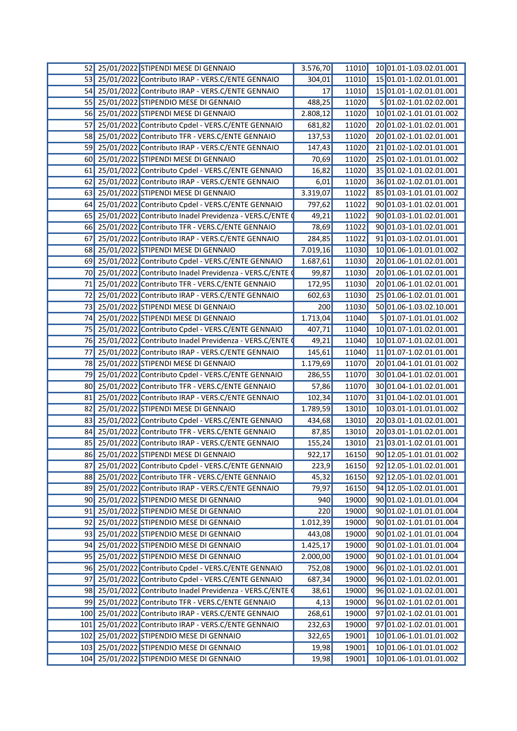| 52              | 25/01/2022 STIPENDI MESE DI GENNAIO                     | 3.576,70  | 11010 | 10 01.01-1.03.02.01.001 |
|-----------------|---------------------------------------------------------|-----------|-------|-------------------------|
| <b>53</b>       | 25/01/2022 Contributo IRAP - VERS.C/ENTE GENNAIO        | 304,01    | 11010 | 15 01.01-1.02.01.01.001 |
| 54              | 25/01/2022 Contributo IRAP - VERS.C/ENTE GENNAIO        | 17        | 11010 | 15 01.01-1.02.01.01.001 |
| 55              | 25/01/2022 STIPENDIO MESE DI GENNAIO                    | 488,25    | 11020 | 5 01.02-1.01.02.02.001  |
| 56              | 25/01/2022 STIPENDI MESE DI GENNAIO                     | 2.808,12  | 11020 | 10 01.02-1.01.01.01.002 |
| 57              | 25/01/2022 Contributo Cpdel - VERS.C/ENTE GENNAIO       | 681,82    | 11020 | 20 01.02-1.01.02.01.001 |
| 58              | 25/01/2022 Contributo TFR - VERS.C/ENTE GENNAIO         | 137,53    | 11020 | 20 01.02-1.01.02.01.001 |
| 59              | 25/01/2022 Contributo IRAP - VERS.C/ENTE GENNAIO        | 147,43    | 11020 | 21 01.02-1.02.01.01.001 |
| 60              | 25/01/2022 STIPENDI MESE DI GENNAIO                     | 70,69     | 11020 | 25 01.02-1.01.01.01.002 |
| 61              | 25/01/2022 Contributo Cpdel - VERS.C/ENTE GENNAIO       | 16,82     | 11020 | 35 01.02-1.01.02.01.001 |
| 62              | 25/01/2022 Contributo IRAP - VERS.C/ENTE GENNAIO        | 6,01      | 11020 | 36 01.02-1.02.01.01.001 |
| 63              | 25/01/2022 STIPENDI MESE DI GENNAIO                     | 3.319,07  | 11022 | 85 01.03-1.01.01.01.002 |
| 64              | 25/01/2022 Contributo Cpdel - VERS.C/ENTE GENNAIO       | 797,62    | 11022 | 90 01.03-1.01.02.01.001 |
| 65              | 25/01/2022 Contributo Inadel Previdenza - VERS.C/ENTE   | 49,21     | 11022 | 90 01.03-1.01.02.01.001 |
| <b>66</b>       | 25/01/2022 Contributo TFR - VERS.C/ENTE GENNAIO         | 78,69     | 11022 | 90 01.03-1.01.02.01.001 |
| 67              | 25/01/2022 Contributo IRAP - VERS.C/ENTE GENNAIO        | 284,85    | 11022 | 91 01.03-1.02.01.01.001 |
| 68              | 25/01/2022 STIPENDI MESE DI GENNAIO                     | 7.019,16  | 11030 | 10 01.06-1.01.01.01.002 |
| 69              | 25/01/2022 Contributo Cpdel - VERS.C/ENTE GENNAIO       | 1.687,61  | 11030 | 20 01.06-1.01.02.01.001 |
| 70              | 25/01/2022 Contributo Inadel Previdenza - VERS.C/ENTE   | 99,87     | 11030 | 20 01.06-1.01.02.01.001 |
| 71              | 25/01/2022 Contributo TFR - VERS.C/ENTE GENNAIO         | 172,95    | 11030 | 20 01.06-1.01.02.01.001 |
| 72              | 25/01/2022 Contributo IRAP - VERS.C/ENTE GENNAIO        | 602,63    | 11030 | 25 01.06-1.02.01.01.001 |
| 73              | 25/01/2022 STIPENDI MESE DI GENNAIO                     | 200       | 11030 | 50 01.06-1.03.02.10.001 |
| 74              | 25/01/2022 STIPENDI MESE DI GENNAIO                     | 1.713,04  | 11040 | 5 01.07-1.01.01.01.002  |
| 75              | 25/01/2022 Contributo Cpdel - VERS.C/ENTE GENNAIO       | 407,71    | 11040 | 10 01.07-1.01.02.01.001 |
| 76              | 25/01/2022 Contributo Inadel Previdenza - VERS.C/ENTE   | 49,21     | 11040 | 10 01.07-1.01.02.01.001 |
| 77              | 25/01/2022 Contributo IRAP - VERS.C/ENTE GENNAIO        | 145,61    | 11040 | 11 01.07-1.02.01.01.001 |
| 78              | 25/01/2022 STIPENDI MESE DI GENNAIO                     | 1.179,69  | 11070 | 20 01.04-1.01.01.01.002 |
| 79              | 25/01/2022 Contributo Cpdel - VERS.C/ENTE GENNAIO       | 286,55    | 11070 | 30 01.04-1.01.02.01.001 |
| 80              | 25/01/2022 Contributo TFR - VERS.C/ENTE GENNAIO         | 57,86     | 11070 | 30 01.04-1.01.02.01.001 |
| 81              | 25/01/2022 Contributo IRAP - VERS.C/ENTE GENNAIO        | 102,34    | 11070 | 31 01.04-1.02.01.01.001 |
| 82              | 25/01/2022 STIPENDI MESE DI GENNAIO                     | 1.789,59  | 13010 | 10 03.01-1.01.01.01.002 |
| 83              | 25/01/2022 Contributo Cpdel - VERS.C/ENTE GENNAIO       | 434,68    | 13010 | 20 03.01-1.01.02.01.001 |
| 84              | 25/01/2022 Contributo TFR - VERS.C/ENTE GENNAIO         | 87,85     | 13010 | 20 03.01-1.01.02.01.001 |
| 85              | 25/01/2022 Contributo IRAP - VERS.C/ENTE GENNAIO        | 155,24    | 13010 | 21 03.01-1.02.01.01.001 |
|                 | 86 25/01/2022 STIPENDI MESE DI GENNAIO                  | 922,17    | 16150 | 90 12.05-1.01.01.01.002 |
| 87              | 25/01/2022 Contributo Cpdel - VERS.C/ENTE GENNAIO       | 223,9     | 16150 | 92 12.05-1.01.02.01.001 |
| 88              | 25/01/2022 Contributo TFR - VERS.C/ENTE GENNAIO         | 45,32     | 16150 | 92 12.05-1.01.02.01.001 |
| 89              | 25/01/2022 Contributo IRAP - VERS.C/ENTE GENNAIO        | 79,97     | 16150 | 94 12.05-1.02.01.01.001 |
| 90 <sub>1</sub> | 25/01/2022 STIPENDIO MESE DI GENNAIO                    | 940       | 19000 | 90 01.02-1.01.01.01.004 |
| 91              | 25/01/2022 STIPENDIO MESE DI GENNAIO                    | 220       | 19000 | 90 01.02-1.01.01.01.004 |
| 921             | 25/01/2022 STIPENDIO MESE DI GENNAIO                    | 1.012,39  | 19000 | 90 01.02-1.01.01.01.004 |
| 93I             | 25/01/2022 STIPENDIO MESE DI GENNAIO                    | 443,08    | 19000 | 90 01.02-1.01.01.01.004 |
| 94              | 25/01/2022 STIPENDIO MESE DI GENNAIO                    | 1.425, 17 | 19000 | 90 01.02-1.01.01.01.004 |
|                 | 95 25/01/2022 STIPENDIO MESE DI GENNAIO                 | 2.000,00  | 19000 | 90 01.02-1.01.01.01.004 |
| 96              | 25/01/2022 Contributo Cpdel - VERS.C/ENTE GENNAIO       | 752,08    | 19000 | 96 01.02-1.01.02.01.001 |
| 97              | 25/01/2022 Contributo Cpdel - VERS.C/ENTE GENNAIO       | 687,34    | 19000 | 96 01.02-1.01.02.01.001 |
| 98              | 25/01/2022 Contributo Inadel Previdenza - VERS.C/ENTE O | 38,61     | 19000 | 96 01.02-1.01.02.01.001 |
| 99              | 25/01/2022 Contributo TFR - VERS.C/ENTE GENNAIO         | 4,13      | 19000 | 96 01.02-1.01.02.01.001 |
| 100             | 25/01/2022 Contributo IRAP - VERS.C/ENTE GENNAIO        | 268,61    | 19000 | 97 01.02-1.02.01.01.001 |
| 101             | 25/01/2022 Contributo IRAP - VERS.C/ENTE GENNAIO        | 232,63    | 19000 | 97 01.02-1.02.01.01.001 |
| 102             | 25/01/2022 STIPENDIO MESE DI GENNAIO                    | 322,65    | 19001 | 10 01.06-1.01.01.01.002 |
| 103             | 25/01/2022 STIPENDIO MESE DI GENNAIO                    | 19,98     | 19001 | 10 01.06-1.01.01.01.002 |
| 104             | 25/01/2022 STIPENDIO MESE DI GENNAIO                    | 19,98     | 19001 | 10 01.06-1.01.01.01.002 |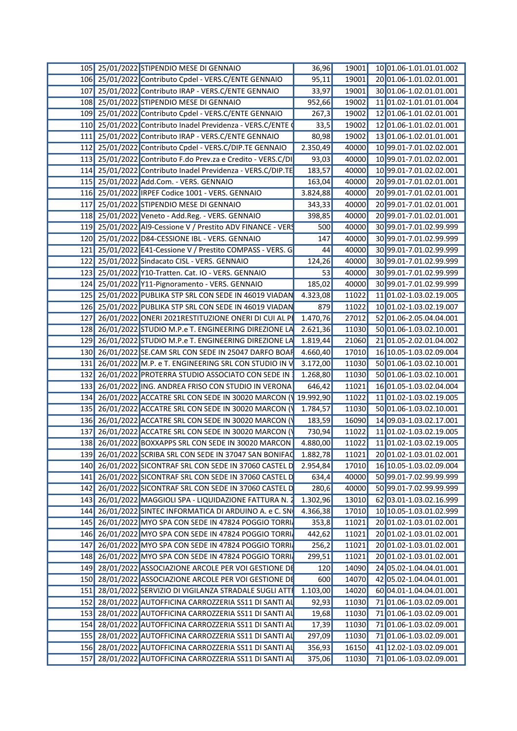|  | 105 25/01/2022 STIPENDIO MESE DI GENNAIO                         | 36,96    | 19001 | 10 01.06-1.01.01.01.002       |
|--|------------------------------------------------------------------|----------|-------|-------------------------------|
|  | 106 25/01/2022 Contributo Cpdel - VERS.C/ENTE GENNAIO            | 95,11    | 19001 | 20 01.06-1.01.02.01.001       |
|  | 107 25/01/2022 Contributo IRAP - VERS.C/ENTE GENNAIO             | 33,97    | 19001 | 30 01.06-1.02.01.01.001       |
|  | 108 25/01/2022 STIPENDIO MESE DI GENNAIO                         | 952,66   | 19002 | 11 01.02-1.01.01.01.004       |
|  | 109 25/01/2022 Contributo Cpdel - VERS.C/ENTE GENNAIO            | 267,3    | 19002 | 12 01.06-1.01.02.01.001       |
|  | 110 25/01/2022 Contributo Inadel Previdenza - VERS.C/ENTE        | 33,5     | 19002 | 12 01.06-1.01.02.01.001       |
|  | 111 25/01/2022 Contributo IRAP - VERS.C/ENTE GENNAIO             | 80,98    | 19002 | 13 01.06-1.02.01.01.001       |
|  | 112 25/01/2022 Contributo Cpdel - VERS.C/DIP.TE GENNAIO          | 2.350,49 | 40000 | 10 99.01-7.01.02.02.001       |
|  | 113 25/01/2022 Contributo F.do Prev.za e Credito - VERS.C/DI     | 93,03    | 40000 | 10 99.01-7.01.02.02.001       |
|  | 114 25/01/2022 Contributo Inadel Previdenza - VERS.C/DIP.TE      | 183,57   | 40000 | 10 99.01-7.01.02.02.001       |
|  | 115 25/01/2022 Add.Com. - VERS. GENNAIO                          | 163,04   | 40000 | 20 99.01-7.01.02.01.001       |
|  | 116 25/01/2022 IRPEF Codice 1001 - VERS. GENNAIO                 |          | 40000 | 20 99.01-7.01.02.01.001       |
|  |                                                                  | 3.824,88 |       |                               |
|  | 117 25/01/2022 STIPENDIO MESE DI GENNAIO                         | 343,33   | 40000 | 20 99.01-7.01.02.01.001       |
|  | 118 25/01/2022 Veneto - Add.Reg. - VERS. GENNAIO                 | 398,85   | 40000 | 20 99.01-7.01.02.01.001       |
|  | 119 25/01/2022 AI9-Cessione V / Prestito ADV FINANCE - VERS      | 500      | 40000 | 30 99.01-7.01.02.99.999       |
|  | 120 25/01/2022 D84-CESSIONE IBL - VERS. GENNAIO                  | 147      | 40000 | 30 99.01-7.01.02.99.999       |
|  | 121 25/01/2022 E41-Cessione V / Prestito COMPASS - VERS. G       | 44       | 40000 | 30 99.01-7.01.02.99.999       |
|  | 122 25/01/2022 Sindacato CISL - VERS. GENNAIO                    | 124,26   | 40000 | 30 99.01-7.01.02.99.999       |
|  | 123 25/01/2022 Y10-Tratten. Cat. IO - VERS. GENNAIO              | -53      | 40000 | 30 99.01-7.01.02.99.999       |
|  | 124 25/01/2022 Y11-Pignoramento - VERS. GENNAIO                  | 185,02   | 40000 | 30 99.01-7.01.02.99.999       |
|  | 125 25/01/2022 PUBLIKA STP SRL CON SEDE IN 46019 VIADAN          | 4.323,08 | 11022 | 11 01.02-1.03.02.19.005       |
|  | 126 25/01/2022 PUBLIKA STP SRL CON SEDE IN 46019 VIADAN          | 879      | 11022 | 10 01.02-1.03.02.19.007       |
|  | 127 26/01/2022 ONERI 2021RESTITUZIONE ONERI DI CUI AL PI         | 1.470,76 | 27012 | 52 01.06-2.05.04.04.001       |
|  | 128 26/01/2022 STUDIO M.P.e T. ENGINEERING DIREZIONE LA          | 2.621,36 | 11030 | 50 01.06-1.03.02.10.001       |
|  | 129 26/01/2022 STUDIO M.P.e T. ENGINEERING DIREZIONE LA          | 1.819,44 | 21060 | 21 01.05-2.02.01.04.002       |
|  | 130 26/01/2022 SE.CAM SRL CON SEDE IN 25047 DARFO BOAF           | 4.660,40 | 17010 | 16 10.05-1.03.02.09.004       |
|  | 131 26/01/2022 M.P. e T. ENGINEERING SRL CON STUDIO IN V         | 3.172,00 | 11030 | 50 01.06-1.03.02.10.001       |
|  | 132 26/01/2022 PROTERRA STUDIO ASSOCIATO CON SEDE IN             | 1.268,80 | 11030 | 50 01.06-1.03.02.10.001       |
|  |                                                                  |          |       |                               |
|  | 133 26/01/2022 ING. ANDREA FRISO CON STUDIO IN VERONA            | 646,42   | 11021 | 16 01.05-1.03.02.04.004       |
|  | 134 26/01/2022 ACCATRE SRL CON SEDE IN 30020 MARCON (19.992,90   |          | 11022 | 11 01.02-1.03.02.19.005       |
|  | 135 26/01/2022 ACCATRE SRL CON SEDE IN 30020 MARCON (V           | 1.784,57 | 11030 | 50 01.06-1.03.02.10.001       |
|  | 136 26/01/2022 ACCATRE SRL CON SEDE IN 30020 MARCON (Y           | 183,59   | 16090 | 14 09.03-1.03.02.17.001       |
|  | 137 26/01/2022 ACCATRE SRL CON SEDE IN 30020 MARCON (Y           | 730,94   | 11022 | 11 01.02-1.03.02.19.005       |
|  | 138 26/01/2022 BOXXAPPS SRL CON SEDE IN 30020 MARCON             | 4.880,00 | 11022 | 11 01.02-1.03.02.19.005       |
|  | 139 26/01/2022 SCRIBA SRL CON SEDE IN 37047 SAN BONIFAC 1.882,78 |          |       | 11021 20 01.02-1.03.01.02.001 |
|  | 140 26/01/2022 SICONTRAF SRL CON SEDE IN 37060 CASTEL D 2.954,84 |          | 17010 | 16 10.05-1.03.02.09.004       |
|  | 141 26/01/2022 SICONTRAF SRL CON SEDE IN 37060 CASTEL D          | 634,4    | 40000 | 50 99.01-7.02.99.99.999       |
|  | 142 26/01/2022 SICONTRAF SRL CON SEDE IN 37060 CASTEL D          | 280,6    | 40000 | 50 99.01-7.02.99.99.999       |
|  | 143 26/01/2022 MAGGIOLI SPA - LIQUIDAZIONE FATTURA N. 2          | 1.302,96 | 13010 | 62 03.01-1.03.02.16.999       |
|  | 144 26/01/2022 SINTEC INFORMATICA DI ARDUINO A. e C. SN          | 4.366,38 | 17010 | 10 10.05-1.03.01.02.999       |
|  | 145 26/01/2022 MYO SPA CON SEDE IN 47824 POGGIO TORRI            | 353,8    | 11021 | 20 01.02-1.03.01.02.001       |
|  | 146 26/01/2022 MYO SPA CON SEDE IN 47824 POGGIO TORRI            | 442,62   |       | 20 01.02-1.03.01.02.001       |
|  |                                                                  |          | 11021 |                               |
|  | 147 26/01/2022 MYO SPA CON SEDE IN 47824 POGGIO TORRI            | 256,2    | 11021 | 20 01.02-1.03.01.02.001       |
|  | 148 26/01/2022 MYO SPA CON SEDE IN 47824 POGGIO TORRI            | 299,51   | 11021 | 20 01.02-1.03.01.02.001       |
|  | 149 28/01/2022 ASSOCIAZIONE ARCOLE PER VOI GESTIONE DE           | 120      | 14090 | 24 05.02-1.04.04.01.001       |
|  | 150 28/01/2022 ASSOCIAZIONE ARCOLE PER VOI GESTIONE DE           | 600      | 14070 | 42 05.02-1.04.04.01.001       |
|  | 151 28/01/2022 SERVIZIO DI VIGILANZA STRADALE SUGLI ATTI         | 1.103,00 | 14020 | 60 04.01-1.04.04.01.001       |
|  | 152 28/01/2022 AUTOFFICINA CARROZZERIA SS11 DI SANTI AI          | 92,93    | 11030 | 71 01.06-1.03.02.09.001       |
|  | 153 28/01/2022 AUTOFFICINA CARROZZERIA SS11 DI SANTI AI          | 19,68    | 11030 | 7101.06-1.03.02.09.001        |
|  | 154 28/01/2022 AUTOFFICINA CARROZZERIA SS11 DI SANTI AI          | 17,39    | 11030 | 71 01.06-1.03.02.09.001       |
|  | 155 28/01/2022 AUTOFFICINA CARROZZERIA SS11 DI SANTI AI          | 297,09   | 11030 | 71 01.06-1.03.02.09.001       |
|  | 156 28/01/2022 AUTOFFICINA CARROZZERIA SS11 DI SANTI AI          | 356,93   | 16150 | 41 12.02-1.03.02.09.001       |
|  |                                                                  |          |       |                               |
|  | 157 28/01/2022 AUTOFFICINA CARROZZERIA SS11 DI SANTI AL          | 375,06   | 11030 | 7101.06-1.03.02.09.001        |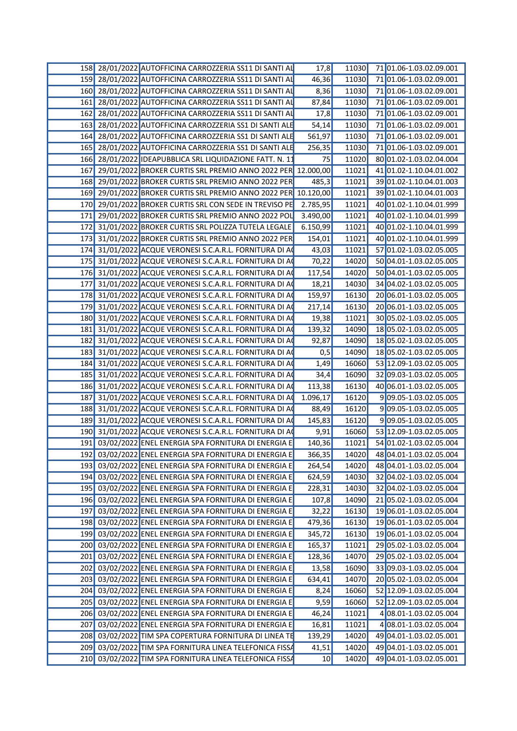| 158 28/01/2022 AUTOFFICINA CARROZZERIA SS11 DI SANTI AI         | 17,8     | 11030   | 71 01.06-1.03.02.09.001       |
|-----------------------------------------------------------------|----------|---------|-------------------------------|
| 159 28/01/2022 AUTOFFICINA CARROZZERIA SS11 DI SANTI AL         | 46,36    | 11030   | 71 01.06-1.03.02.09.001       |
| 160 28/01/2022 AUTOFFICINA CARROZZERIA SS11 DI SANTI A          | 8,36     | 11030   | 71 01.06-1.03.02.09.001       |
| 161 28/01/2022 AUTOFFICINA CARROZZERIA SS11 DI SANTI A          | 87,84    | 11030   | 71 01.06-1.03.02.09.001       |
| 162 28/01/2022 AUTOFFICINA CARROZZERIA SS11 DI SANTI AI         | 17,8     | 11030   | 71 01.06-1.03.02.09.001       |
| 163 28/01/2022 AUTOFFICINA CARROZZERIA SS1 DI SANTI ALE         | 54,14    | 11030   | 71 01.06-1.03.02.09.001       |
| 164 28/01/2022 AUTOFFICINA CARROZZERIA SS1 DI SANTI ALE         | 561,97   | 11030   | 71 01.06-1.03.02.09.001       |
|                                                                 |          |         |                               |
| 165 28/01/2022 AUTOFFICINA CARROZZERIA SS1 DI SANTI ALE         | 256,35   | 11030   | 71 01.06-1.03.02.09.001       |
| 166 28/01/2022 IDEAPUBBLICA SRL LIQUIDAZIONE FATT. N. 11        | 75       | 11020   | 80 01.02-1.03.02.04.004       |
| 167 29/01/2022 BROKER CURTIS SRL PREMIO ANNO 2022 PER 12.000,00 |          | 11021   | 41 01.02-1.10.04.01.002       |
| 168 29/01/2022 BROKER CURTIS SRL PREMIO ANNO 2022 PER           | 485,3    | 11021   | 39 01.02-1.10.04.01.003       |
| 169 29/01/2022 BROKER CURTIS SRL PREMIO ANNO 2022 PER 10.120,00 |          | 11021   | 39 01.02-1.10.04.01.003       |
| 170 29/01/2022 BROKER CURTIS SRL CON SEDE IN TREVISO PE         | 2.785,95 | 11021   | 40 01.02-1.10.04.01.999       |
| 171 29/01/2022 BROKER CURTIS SRL PREMIO ANNO 2022 POL           | 3.490,00 | 11021   | 40 01.02-1.10.04.01.999       |
| 172 31/01/2022 BROKER CURTIS SRL POLIZZA TUTELA LEGALE          | 6.150,99 | 11021   | 40 01.02-1.10.04.01.999       |
| 173 31/01/2022 BROKER CURTIS SRL PREMIO ANNO 2022 PER           | 154,01   | 11021   | 40 01.02-1.10.04.01.999       |
| 174 31/01/2022 ACQUE VERONESI S.C.A.R.L. FORNITURA DI A         | 43,03    | 11021   | 57 01.02-1.03.02.05.005       |
| 175 31/01/2022 ACQUE VERONESI S.C.A.R.L. FORNITURA DI A         | 70,22    | 14020   | 50 04.01-1.03.02.05.005       |
| 176 31/01/2022 ACQUE VERONESI S.C.A.R.L. FORNITURA DI AO        | 117,54   | 14020   | 50 04.01-1.03.02.05.005       |
| 177 31/01/2022 ACQUE VERONESI S.C.A.R.L. FORNITURA DI A         | 18,21    | 14030   | 34 04.02-1.03.02.05.005       |
| 178 31/01/2022 ACQUE VERONESI S.C.A.R.L. FORNITURA DI AC        | 159,97   | 16130   | 20 06.01-1.03.02.05.005       |
| 179 31/01/2022 ACQUE VERONESI S.C.A.R.L. FORNITURA DI A         | 217,14   | 16130   | 20 06.01-1.03.02.05.005       |
|                                                                 |          |         |                               |
| 180 31/01/2022 ACQUE VERONESI S.C.A.R.L. FORNITURA DI A         | 19,38    | 11021   | 30 05.02-1.03.02.05.005       |
| 181 31/01/2022 ACQUE VERONESI S.C.A.R.L. FORNITURA DI AO        | 139,32   | 14090   | 18 05.02-1.03.02.05.005       |
| 182 31/01/2022 ACQUE VERONESI S.C.A.R.L. FORNITURA DI A         | 92,87    | 14090   | 18 05.02-1.03.02.05.005       |
| 183 31/01/2022 ACQUE VERONESI S.C.A.R.L. FORNITURA DI A         | 0,5      | 14090   | 18 05.02-1.03.02.05.005       |
| 184 31/01/2022 ACQUE VERONESI S.C.A.R.L. FORNITURA DI A         | 1,49     | 16060   | 53 12.09-1.03.02.05.005       |
| 185 31/01/2022 ACQUE VERONESI S.C.A.R.L. FORNITURA DI A         | 34,4     | 16090   | 32 09.03-1.03.02.05.005       |
| 186 31/01/2022 ACQUE VERONESI S.C.A.R.L. FORNITURA DI A         | 113,38   | 16130   | 40 06.01-1.03.02.05.005       |
| 187 31/01/2022 ACQUE VERONESI S.C.A.R.L. FORNITURA DI A         | 1.096,17 | 16120   | 909.05-1.03.02.05.005         |
| 188 31/01/2022 ACQUE VERONESI S.C.A.R.L. FORNITURA DI A         | 88,49    | 16120   | 909.05-1.03.02.05.005         |
| 189 31/01/2022 ACQUE VERONESI S.C.A.R.L. FORNITURA DI A         | 145,83   | 16120   | 909.05-1.03.02.05.005         |
| 190 31/01/2022 ACQUE VERONESI S.C.A.R.L. FORNITURA DI A         | 9,91     | 16060   | 53 12.09-1.03.02.05.005       |
| 191 03/02/2022 ENEL ENERGIA SPA FORNITURA DI ENERGIA E          | 140,36   | 11021   | 54 01.02-1.03.02.05.004       |
| 192 03/02/2022 ENEL ENERGIA SPA FORNITURA DI ENERGIA E          | 366,35   |         | 14020 48 04.01-1.03.02.05.004 |
| 193 03/02/2022 ENEL ENERGIA SPA FORNITURA DI ENERGIA E          | 264,54   | 14020   | 48 04.01-1.03.02.05.004       |
|                                                                 |          | 14030   |                               |
| 194 03/02/2022 ENEL ENERGIA SPA FORNITURA DI ENERGIA E          | 624,59   |         | 32 04.02-1.03.02.05.004       |
| 195 03/02/2022 ENEL ENERGIA SPA FORNITURA DI ENERGIA E          | 228,31   |         | 14030 32 04.02-1.03.02.05.004 |
| 196 03/02/2022 ENEL ENERGIA SPA FORNITURA DI ENERGIA E          | 107,8    | 14090   | 2105.02-1.03.02.05.004        |
| 197 03/02/2022 ENEL ENERGIA SPA FORNITURA DI ENERGIA E          | 32,22    | 16130   | 19 06 01 - 1.03 02 05 004     |
| 198 03/02/2022 ENEL ENERGIA SPA FORNITURA DI ENERGIA E          | 479,36   | 16130   | 19 06.01-1.03.02.05.004       |
| 199 03/02/2022 ENEL ENERGIA SPA FORNITURA DI ENERGIA E          | 345,72   | 16130   | 19 06.01-1.03.02.05.004       |
| 200 03/02/2022 ENEL ENERGIA SPA FORNITURA DI ENERGIA E          | 165,37   | $11021$ | 2905.02-1.03.02.05.004        |
| 201 03/02/2022 ENEL ENERGIA SPA FORNITURA DI ENERGIA E          | 128,36   | 14070   | 29 05.02-1.03.02.05.004       |
| 202 03/02/2022 ENEL ENERGIA SPA FORNITURA DI ENERGIA E          | 13,58    | 16090   | 33 09.03-1.03.02.05.004       |
| 203 03/02/2022 ENEL ENERGIA SPA FORNITURA DI ENERGIA E          | 634,41   | 14070   | 20 05.02-1.03.02.05.004       |
| 204 03/02/2022 ENEL ENERGIA SPA FORNITURA DI ENERGIA E          | 8,24     | 16060   | 52 12.09-1.03.02.05.004       |
| 205 03/02/2022 ENEL ENERGIA SPA FORNITURA DI ENERGIA E          | 9,59     | 16060   | 52 12.09-1.03.02.05.004       |
| 206 03/02/2022 ENEL ENERGIA SPA FORNITURA DI ENERGIA E          | 46,24    | 11021   | 408.01-1.03.02.05.004         |
| 207 03/02/2022 ENEL ENERGIA SPA FORNITURA DI ENERGIA E          | 16,81    | 11021   | 408.01-1.03.02.05.004         |
|                                                                 |          |         |                               |
| 208 03/02/2022 TIM SPA COPERTURA FORNITURA DI LINEA TE          | 139,29   | 14020   | 49 04.01-1.03.02.05.001       |
| 209 03/02/2022 TIM SPA FORNITURA LINEA TELEFONICA FISSA         | 41,51    | 14020   | 49 04.01-1.03.02.05.001       |
| 210 03/02/2022 TIM SPA FORNITURA LINEA TELEFONICA FISSA         | 10       | 14020   | 49 04.01-1.03.02.05.001       |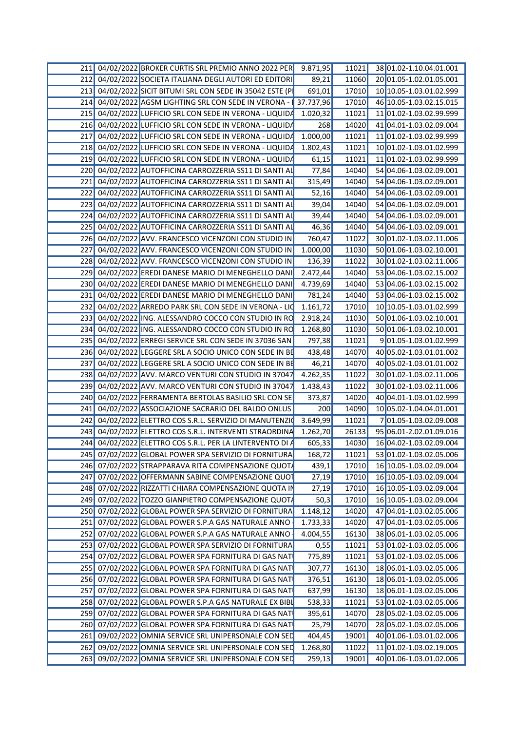| 211 04/02/2022 BROKER CURTIS SRL PREMIO ANNO 2022 PER     | 9.871,95   | 11021          | 38 01.02-1.10.04.01.001         |
|-----------------------------------------------------------|------------|----------------|---------------------------------|
| 212 04/02/2022 SOCIETA ITALIANA DEGLI AUTORI ED EDITORI   | 89,21      | 11060          | 20 01.05-1.02.01.05.001         |
| 213 04/02/2022 SICIT BITUMI SRL CON SEDE IN 35042 ESTE (P | 691,01     | 17010          | 10 10.05-1.03.01.02.999         |
| 214 04/02/2022 AGSM LIGHTING SRL CON SEDE IN VERONA -     | 37.737,96  | 17010          | 46 10.05-1.03.02.15.015         |
| 215 04/02/2022 LUFFICIO SRL CON SEDE IN VERONA - LIQUIDA  | 1.020,32   |                | 11021 11 01.02-1.03.02.99.999   |
| 216 04/02/2022 LUFFICIO SRL CON SEDE IN VERONA - LIQUIDA  | <b>268</b> | 14020          | 41 04.01-1.03.02.09.004         |
| 217 04/02/2022 LUFFICIO SRL CON SEDE IN VERONA - LIQUIDA  | 1.000,00   | 11021          | 11 01.02-1.03.02.99.999         |
|                                                           |            |                |                                 |
| 218 04/02/2022 LUFFICIO SRL CON SEDE IN VERONA - LIQUIDA  | 1.802,43   | 11021          | 10 01.02-1.03.01.02.999         |
| 219 04/02/2022 LUFFICIO SRL CON SEDE IN VERONA - LIQUID   | 61,15      | 11021          | 11 01.02-1.03.02.99.999         |
| 220 04/02/2022 AUTOFFICINA CARROZZERIA SS11 DI SANTI AI   | 77,84      | 14040          | 54 04.06-1.03.02.09.001         |
| 221 04/02/2022 AUTOFFICINA CARROZZERIA SS11 DI SANTI A    | 315,49     | 14040          | 54 04.06-1.03.02.09.001         |
| 222 04/02/2022 AUTOFFICINA CARROZZERIA SS11 DI SANTI A    | 52,16      | 14040          | 54 04.06-1.03.02.09.001         |
| 223 04/02/2022 AUTOFFICINA CARROZZERIA SS11 DI SANTI A    | 39,04      | 14040          | 54 04.06-1.03.02.09.001         |
| 224 04/02/2022 AUTOFFICINA CARROZZERIA SS11 DI SANTI A    | 39,44      | 14040          | 54 04.06-1.03.02.09.001         |
| 225 04/02/2022 AUTOFFICINA CARROZZERIA SS11 DI SANTI A    | 46,36      | 14040          | 54 04.06-1.03.02.09.001         |
| 226 04/02/2022 AVV. FRANCESCO VICENZONI CON STUDIO IN     | 760,47     | 11022          | 30 01.02-1.03.02.11.006         |
| 227 04/02/2022 AVV. FRANCESCO VICENZONI CON STUDIO IN     | 1.000,00   | 11030          | 50 01.06-1.03.02.10.001         |
| 228 04/02/2022 AVV. FRANCESCO VICENZONI CON STUDIO IN     | 136,39     | 11022          | 30 01.02-1.03.02.11.006         |
| 229 04/02/2022 EREDI DANESE MARIO DI MENEGHELLO DANI      | 2.472,44   | 14040          | 53 04.06-1.03.02.15.002         |
| 230 04/02/2022 EREDI DANESE MARIO DI MENEGHELLO DANI      | 4.739,69   | 14040          | 53 04.06-1.03.02.15.002         |
| 231 04/02/2022 EREDI DANESE MARIO DI MENEGHELLO DANI      | 781,24     | 14040          | 53 04.06-1.03.02.15.002         |
| 232 04/02/2022 ARREDO PARK SRL CON SEDE IN VERONA - LIC   | 1.161, 72  | 17010 <b>1</b> | 10 10.05-1.03.01.02.999         |
| 233 04/02/2022 ING. ALESSANDRO COCCO CON STUDIO IN RO     | 2.918,24   | 11030          | 50 01.06-1.03.02.10.001         |
|                                                           |            |                |                                 |
| 234 04/02/2022 ING. ALESSANDRO COCCO CON STUDIO IN RC     | 1.268,80   | 11030          | 50 01.06-1.03.02.10.001         |
| 235 04/02/2022 ERREGI SERVICE SRL CON SEDE IN 37036 SAN   | 797,38     | 11021          | 901.05-1.03.01.02.999           |
| 236 04/02/2022 LEGGERE SRL A SOCIO UNICO CON SEDE IN B    | 438,48     | 14070          | 40 05.02-1.03.01.01.002         |
| 237 04/02/2022 LEGGERE SRL A SOCIO UNICO CON SEDE IN BE   | 46,21      | 14070          | 40 05.02-1.03.01.01.002         |
| 238 04/02/2022 AVV. MARCO VENTURI CON STUDIO IN 37047     | 4.262,35   | 11022          | 30 01.02-1.03.02.11.006         |
| 239 04/02/2022 AVV. MARCO VENTURI CON STUDIO IN 3704      | 1.438,43   | 11022          | 30 01.02-1.03.02.11.006         |
| 240 04/02/2022 FERRAMENTA BERTOLAS BASILIO SRL CON SE     | 373,87     | 14020          | 40 04.01-1.03.01.02.999         |
| 241 04/02/2022 ASSOCIAZIONE SACRARIO DEL BALDO ONLUS      | 200        | 14090          | 10 05.02-1.04.04.01.001         |
| 242 04/02/2022 ELETTRO COS S.R.L. SERVIZIO DI MANUTENZIO  | 3.649,99   | 11021          | 701.05-1.03.02.09.008           |
| 243 04/02/2022 ELETTRO COS S.R.L. INTERVENTI STRAORDINA   | 1.262,70   | 26133          | 95 06.01-2.02.01.09.016         |
| 244 04/02/2022 ELETTRO COS S.R.L. PER LA LINTERVENTO DI   | 605,33     | 14030          | 16 04.02-1.03.02.09.004         |
| 245 07/02/2022 GLOBAL POWER SPA SERVIZIO DI FORNITURA     | 168,72     |                | 11021 53 01.02-1.03.02.05.006   |
| 246 07/02/2022 STRAPPARAVA RITA COMPENSAZIONE QUOTA       | 439,1      |                | 17010 16 10.05-1.03.02.09.004   |
| 247 07/02/2022 OFFERMANN SABINE COMPENSAZIONE QUOT        | 27,19      |                | 17010 16 10.05-1.03.02.09.004   |
| 248 07/02/2022 RIZZATTI CHIARA COMPENSAZIONE QUOTA II     | 27,19      |                | 17010 16 10.05-1.03.02.09.004   |
| 249 07/02/2022 TOZZO GIANPIETRO COMPENSAZIONE QUOT        | 50,3       |                | 17010 16 10.05-1.03.02.09.004   |
| 250 07/02/2022 GLOBAL POWER SPA SERVIZIO DI FORNITURA     | 1.148,12   | 14020          | 47 04.01-1.03.02.05.006         |
|                                                           |            |                |                                 |
| 251 07/02/2022 GLOBAL POWER S.P.A GAS NATURALE ANNO       | 1.733,33   | 14020          | 47 04.01-1.03.02.05.006         |
| 252 07/02/2022 GLOBAL POWER S.P.A GAS NATURALE ANNO       | 4.004,55   |                | 16130 38 06.01-1.03.02.05.006   |
| 253 07/02/2022 GLOBAL POWER SPA SERVIZIO DI FORNITURA     | 0,55       |                | 11021 53 01.02-1.03.02.05.006   |
| 254 07/02/2022 GLOBAL POWER SPA FORNITURA DI GAS NAT      | 775,89     |                | 11021 53 01.02-1.03.02.05.006   |
| 255 07/02/2022 GLOBAL POWER SPA FORNITURA DI GAS NAT      | 307,77     | 16130          | 18 06.01-1.03.02.05.006         |
| 256 07/02/2022 GLOBAL POWER SPA FORNITURA DI GAS NAT      | 376,51     | 16130          | 18 06.01-1.03.02.05.006         |
| 257 07/02/2022 GLOBAL POWER SPA FORNITURA DI GAS NAT      | 637,99     |                | 16130  18  06.01-1.03.02.05.006 |
| 258 07/02/2022 GLOBAL POWER S.P.A GAS NATURALE EX BIB     | 538,33     |                | 11021 53 01.02-1.03.02.05.006   |
| 259 07/02/2022 GLOBAL POWER SPA FORNITURA DI GAS NAT      | 395,61     |                | 14070 28 05.02-1.03.02.05.006   |
| 260 07/02/2022 GLOBAL POWER SPA FORNITURA DI GAS NAT      | 25,79      |                | 14070 28 05.02-1.03.02.05.006   |
| 261 09/02/2022 OMNIA SERVICE SRL UNIPERSONALE CON SED     | 404,45     | 19001          | 40 01.06-1.03.01.02.006         |
| 262 09/02/2022 OMNIA SERVICE SRL UNIPERSONALE CON SED     | 1.268,80   |                | 11022 11 01.02-1.03.02.19.005   |
| 263 09/02/2022 OMNIA SERVICE SRL UNIPERSONALE CON SED     | 259,13     |                | 19001 40 01.06-1.03.01.02.006   |
|                                                           |            |                |                                 |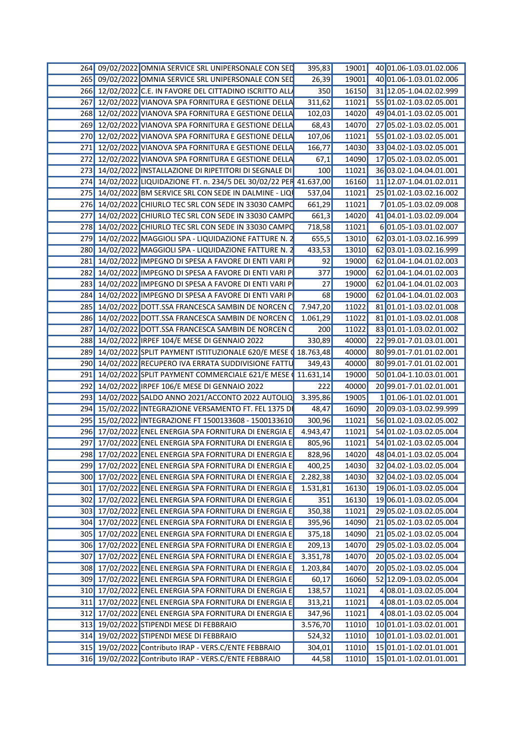| 264 09/02/2022 OMNIA SERVICE SRL UNIPERSONALE CON SED               | 395,83    | 19001 | 40 01.06-1.03.01.02.006       |
|---------------------------------------------------------------------|-----------|-------|-------------------------------|
| 265 09/02/2022 OMNIA SERVICE SRL UNIPERSONALE CON SED               | 26,39     | 19001 | 40 01.06-1.03.01.02.006       |
| 266 12/02/2022 C.E. IN FAVORE DEL CITTADINO ISCRITTO ALL            | 350       |       | 16150 31 12.05-1.04.02.02.999 |
| 267 12/02/2022 VIANOVA SPA FORNITURA E GESTIONE DELL                | 311,62    | 11021 | 55 01.02-1.03.02.05.001       |
| 268 12/02/2022 VIANOVA SPA FORNITURA E GESTIONE DELL                | 102,03    | 14020 | 49 04.01-1.03.02.05.001       |
| 269 12/02/2022 VIANOVA SPA FORNITURA E GESTIONE DELL                | 68,43     | 14070 | 27 05.02-1.03.02.05.001       |
| 270 12/02/2022 VIANOVA SPA FORNITURA E GESTIONE DELL                | 107,06    | 11021 | 55 01.02-1.03.02.05.001       |
|                                                                     |           |       |                               |
| 271 12/02/2022 VIANOVA SPA FORNITURA E GESTIONE DELLA               | 166,77    | 14030 | 33 04.02-1.03.02.05.001       |
| 272 12/02/2022 VIANOVA SPA FORNITURA E GESTIONE DELL                | 67,1      | 14090 | 17 05.02-1.03.02.05.001       |
| 273 14/02/2022 INSTALLAZIONE DI RIPETITORI DI SEGNALE DI            | 100       | 11021 | 36 03.02-1.04.04.01.001       |
| 274 14/02/2022 LIQUIDAZIONE FT. n. 234/5 DEL 30/02/22 PER 41.637,00 |           | 16160 | 11 12.07-1.04.01.02.011       |
| 275 14/02/2022 BM SERVICE SRL CON SEDE IN DALMINE - LIQ             | 537,04    | 11021 | 25 01.02-1.03.02.16.002       |
| 276 14/02/2022 CHIURLO TEC SRL CON SEDE IN 33030 CAMPO              | 661,29    | 11021 | 701.05-1.03.02.09.008         |
| 277 14/02/2022 CHIURLO TEC SRL CON SEDE IN 33030 CAMP               | 661,3     | 14020 | 41 04.01-1.03.02.09.004       |
| 278 14/02/2022 CHIURLO TEC SRL CON SEDE IN 33030 CAMP               | 718,58    | 11021 | 601.05-1.03.01.02.007         |
| 279 14/02/2022 MAGGIOLI SPA - LIQUIDAZIONE FATTURE N.               | 655,5     | 13010 | 62 03.01-1.03.02.16.999       |
| 280 14/02/2022 MAGGIOLI SPA - LIQUIDAZIONE FATTURE N.               | 433,53    | 13010 | 62 03.01-1.03.02.16.999       |
| 281 14/02/2022 IMPEGNO DI SPESA A FAVORE DI ENTI VARI P             | 92        | 19000 | 62 01.04-1.04.01.02.003       |
| 282 14/02/2022 IMPEGNO DI SPESA A FAVORE DI ENTI VARI P             | 377       | 19000 | 62 01.04-1.04.01.02.003       |
| 283 14/02/2022 IMPEGNO DI SPESA A FAVORE DI ENTI VARI P             | 27        | 19000 | 62 01.04-1.04.01.02.003       |
| 284 14/02/2022 IMPEGNO DI SPESA A FAVORE DI ENTI VARI P             | 68        | 19000 | 62 01.04-1.04.01.02.003       |
|                                                                     |           |       |                               |
| 285 14/02/2022 DOTT.SSA FRANCESCA SAMBIN DE NORCEN                  | 7.947,20  | 11022 | 81 01.01-1.03.02.01.008       |
| 286 14/02/2022 DOTT.SSA FRANCESCA SAMBIN DE NORCEN                  | 1.061,29  | 11022 | 81 01.01-1.03.02.01.008       |
| 287 14/02/2022 DOTT.SSA FRANCESCA SAMBIN DE NORCEN C                | 200       | 11022 | 83 01.01-1.03.02.01.002       |
| 288 14/02/2022 IRPEF 104/E MESE DI GENNAIO 2022                     | 330,89    | 40000 | 22 99.01-7.01.03.01.001       |
| 289 14/02/2022 SPLIT PAYMENT ISTITUZIONALE 620/E MESE ( 18.763,48   |           | 40000 | 80 99.01-7.01.01.02.001       |
| 290 14/02/2022 RECUPERO IVA ERRATA SUDDIVISIONE FATTU               | 349,43    | 40000 | 80 99.01-7.01.01.02.001       |
| 291 14/02/2022 SPLIT PAYMENT COMMERCIALE 621/E MESE                 | 11.631,14 | 19000 | 50 01.04-1.10.03.01.001       |
| 292 14/02/2022 IRPEF 106/E MESE DI GENNAIO 2022                     | 222       | 40000 | 20 99.01-7.01.02.01.001       |
| 293 14/02/2022 SALDO ANNO 2021/ACCONTO 2022 AUTOLIO                 | 3.395,86  | 19005 | 101.06-1.01.02.01.001         |
| 294 15/02/2022 INTEGRAZIONE VERSAMENTO FT. FEL 1375 DI              | 48,47     | 16090 | 20 09.03-1.03.02.99.999       |
| 295 15/02/2022 INTEGRAZIONE FT 1500133608 - 1500133610              | 300,96    | 11021 | 56 01.02-1.03.02.05.002       |
| 296 17/02/2022 ENEL ENERGIA SPA FORNITURA DI ENERGIA E              |           | 11021 | 54 01.02-1.03.02.05.004       |
|                                                                     | 4.943,47  |       |                               |
| 297 17/02/2022 ENEL ENERGIA SPA FORNITURA DI ENERGIA E              | 805,96    | 11021 | 54 01.02-1.03.02.05.004       |
| 298 17/02/2022 ENEL ENERGIA SPA FORNITURA DI ENERGIA E              | 828,96    |       | 14020 48 04.01-1.03.02.05.004 |
| 299 17/02/2022 ENEL ENERGIA SPA FORNITURA DI ENERGIA E              | 400,25    |       | 14030 32 04.02-1.03.02.05.004 |
| 300 17/02/2022 ENEL ENERGIA SPA FORNITURA DI ENERGIA E              | 2.282,38  |       | 14030 32 04.02-1.03.02.05.004 |
| 301 17/02/2022 ENEL ENERGIA SPA FORNITURA DI ENERGIA E 1.531,81     |           |       | 16130 19 06.01-1.03.02.05.004 |
| 302 17/02/2022 ENEL ENERGIA SPA FORNITURA DI ENERGIA E              | 351       |       | 16130 19 06.01-1.03.02.05.004 |
| 303 17/02/2022 ENEL ENERGIA SPA FORNITURA DI ENERGIA E              | 350,38    | 11021 | 29 05.02-1.03.02.05.004       |
| 304 17/02/2022 ENEL ENERGIA SPA FORNITURA DI ENERGIA E              | 395,96    |       | 14090 21 05.02-1.03.02.05.004 |
| 305 17/02/2022 ENEL ENERGIA SPA FORNITURA DI ENERGIA E              | 375,18    |       | 14090 21 05.02-1.03.02.05.004 |
| 306 17/02/2022 ENEL ENERGIA SPA FORNITURA DI ENERGIA E              | 209,13    |       | 14070 29 05.02-1.03.02.05.004 |
| 307 17/02/2022 ENEL ENERGIA SPA FORNITURA DI ENERGIA E              | 3.351,78  | 14070 | 20 05.02-1.03.02.05.004       |
|                                                                     |           |       |                               |
| 308 17/02/2022 ENEL ENERGIA SPA FORNITURA DI ENERGIA E              | 1.203,84  | 14070 | 2005.02-1.03.02.05.004        |
| 309 17/02/2022 ENEL ENERGIA SPA FORNITURA DI ENERGIA E              | 60,17     | 16060 | 52 12.09-1.03.02.05.004       |
| 310 17/02/2022 ENEL ENERGIA SPA FORNITURA DI ENERGIA E              | 138,57    | 11021 | 4 08.01-1.03.02.05.004        |
| 311 17/02/2022 ENEL ENERGIA SPA FORNITURA DI ENERGIA E              | 313,21    | 11021 | 4 08.01-1.03.02.05.004        |
| 312 17/02/2022 ENEL ENERGIA SPA FORNITURA DI ENERGIA E              | 347,96    | 11021 | 4 08.01-1.03.02.05.004        |
| 313 19/02/2022 STIPENDI MESE DI FEBBRAIO                            | 3.576,70  | 11010 | 10 01.01-1.03.02.01.001       |
| 314 19/02/2022 STIPENDI MESE DI FEBBRAIO                            | 524,32    | 11010 | 10 01.01-1.03.02.01.001       |
| 315 19/02/2022 Contributo IRAP - VERS.C/ENTE FEBBRAIO               | 304,01    |       | 11010 15 01.01-1.02.01.01.001 |
| 316 19/02/2022 Contributo IRAP - VERS.C/ENTE FEBBRAIO               | 44,58     |       | 11010 15 01.01-1.02.01.01.001 |
|                                                                     |           |       |                               |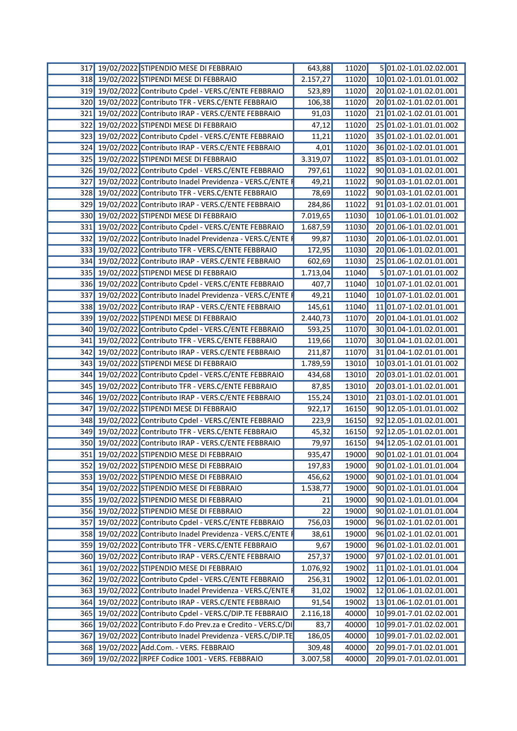| 317          | 19/02/2022 STIPENDIO MESE DI FEBBRAIO                        | 643,88   | 11020 | 5 01.02-1.01.02.02.001  |
|--------------|--------------------------------------------------------------|----------|-------|-------------------------|
| 318 <b>1</b> | 19/02/2022 STIPENDI MESE DI FEBBRAIO                         | 2.157,27 | 11020 | 10 01.02-1.01.01.01.002 |
| 319          | 19/02/2022 Contributo Cpdel - VERS.C/ENTE FEBBRAIO           | 523,89   | 11020 | 20 01.02-1.01.02.01.001 |
|              | 320 19/02/2022 Contributo TFR - VERS.C/ENTE FEBBRAIO         | 106,38   | 11020 | 20 01.02-1.01.02.01.001 |
| 321          | 19/02/2022 Contributo IRAP - VERS.C/ENTE FEBBRAIO            | 91,03    | 11020 | 21 01.02-1.02.01.01.001 |
| 322          | 19/02/2022 STIPENDI MESE DI FEBBRAIO                         | 47,12    | 11020 | 25 01.02-1.01.01.01.002 |
| 323          | 19/02/2022 Contributo Cpdel - VERS.C/ENTE FEBBRAIO           | 11,21    | 11020 | 35 01.02-1.01.02.01.001 |
| 324          | 19/02/2022 Contributo IRAP - VERS.C/ENTE FEBBRAIO            | 4,01     | 11020 | 36 01.02-1.02.01.01.001 |
| 325          | 19/02/2022 STIPENDI MESE DI FEBBRAIO                         | 3.319,07 | 11022 | 85 01.03-1.01.01.01.002 |
| 326          | 19/02/2022 Contributo Cpdel - VERS.C/ENTE FEBBRAIO           | 797,61   | 11022 | 90 01.03-1.01.02.01.001 |
| 327          | 19/02/2022 Contributo Inadel Previdenza - VERS.C/ENTE F      | 49,21    | 11022 | 90 01.03-1.01.02.01.001 |
| 328          | 19/02/2022 Contributo TFR - VERS.C/ENTE FEBBRAIO             | 78,69    | 11022 | 90 01.03-1.01.02.01.001 |
| 329          | 19/02/2022 Contributo IRAP - VERS.C/ENTE FEBBRAIO            | 284,86   | 11022 | 91 01.03-1.02.01.01.001 |
| 330          | 19/02/2022 STIPENDI MESE DI FEBBRAIO                         | 7.019,65 | 11030 | 10 01.06-1.01.01.01.002 |
| 331          | 19/02/2022 Contributo Cpdel - VERS.C/ENTE FEBBRAIO           | 1.687,59 | 11030 | 20 01.06-1.01.02.01.001 |
| 332          | 19/02/2022 Contributo Inadel Previdenza - VERS.C/ENTE F      | 99,87    | 11030 | 20 01.06-1.01.02.01.001 |
| 333          | 19/02/2022 Contributo TFR - VERS.C/ENTE FEBBRAIO             | 172,95   | 11030 | 20 01.06-1.01.02.01.001 |
| 334          | 19/02/2022 Contributo IRAP - VERS.C/ENTE FEBBRAIO            | 602,69   | 11030 | 25 01.06-1.02.01.01.001 |
| 335          | 19/02/2022 STIPENDI MESE DI FEBBRAIO                         | 1.713,04 | 11040 | 5 01.07-1.01.01.01.002  |
| 336          | 19/02/2022 Contributo Cpdel - VERS.C/ENTE FEBBRAIO           | 407,7    | 11040 | 10 01.07-1.01.02.01.001 |
| 337          | 19/02/2022 Contributo Inadel Previdenza - VERS.C/ENTE F      | 49,21    | 11040 | 10 01.07-1.01.02.01.001 |
|              | 338 19/02/2022 Contributo IRAP - VERS.C/ENTE FEBBRAIO        | 145,61   | 11040 | 11 01.07-1.02.01.01.001 |
| 339          | 19/02/2022 STIPENDI MESE DI FEBBRAIO                         | 2.440,73 | 11070 | 20 01.04-1.01.01.01.002 |
| 340I         | 19/02/2022 Contributo Cpdel - VERS.C/ENTE FEBBRAIO           | 593,25   | 11070 | 30 01.04-1.01.02.01.001 |
| 341          | 19/02/2022 Contributo TFR - VERS.C/ENTE FEBBRAIO             | 119,66   | 11070 | 30 01.04-1.01.02.01.001 |
| 342          | 19/02/2022 Contributo IRAP - VERS.C/ENTE FEBBRAIO            | 211,87   | 11070 | 31 01.04-1.02.01.01.001 |
| 343          | 19/02/2022 STIPENDI MESE DI FEBBRAIO                         | 1.789,59 | 13010 | 10 03.01-1.01.01.01.002 |
| 344          | 19/02/2022 Contributo Cpdel - VERS.C/ENTE FEBBRAIO           | 434,68   | 13010 | 20 03.01-1.01.02.01.001 |
| 345          | 19/02/2022 Contributo TFR - VERS.C/ENTE FEBBRAIO             | 87,85    | 13010 | 20 03.01-1.01.02.01.001 |
| 346          | 19/02/2022 Contributo IRAP - VERS.C/ENTE FEBBRAIO            | 155,24   | 13010 | 21 03.01-1.02.01.01.001 |
| 347          | 19/02/2022 STIPENDI MESE DI FEBBRAIO                         | 922,17   | 16150 | 90 12.05-1.01.01.01.002 |
| 348          | 19/02/2022 Contributo Cpdel - VERS.C/ENTE FEBBRAIO           | 223,9    | 16150 | 92 12.05-1.01.02.01.001 |
|              | 349 19/02/2022 Contributo TFR - VERS.C/ENTE FEBBRAIO         | 45,32    | 16150 | 92 12.05-1.01.02.01.001 |
|              | 350 19/02/2022 Contributo IRAP - VERS.C/ENTE FEBBRAIO        | 79,97    | 16150 | 94 12.05-1.02.01.01.001 |
|              | 351 19/02/2022 STIPENDIO MESE DI FEBBRAIO                    | 935,47   | 19000 | 90 01.02-1.01.01.01.004 |
| 352          | 19/02/2022 STIPENDIO MESE DI FEBBRAIO                        | 197,83   | 19000 | 90 01.02-1.01.01.01.004 |
|              | 353 19/02/2022 STIPENDIO MESE DI FEBBRAIO                    | 456,62   | 19000 | 90 01.02-1.01.01.01.004 |
|              | 354 19/02/2022 STIPENDIO MESE DI FEBBRAIO                    | 1.538,77 | 19000 | 90 01.02-1.01.01.01.004 |
|              | 355 19/02/2022 STIPENDIO MESE DI FEBBRAIO                    | 21       | 19000 | 90 01.02-1.01.01.01.004 |
|              | 356 19/02/2022 STIPENDIO MESE DI FEBBRAIO                    | 22       | 19000 | 90 01.02-1.01.01.01.004 |
| 357          | 19/02/2022 Contributo Cpdel - VERS.C/ENTE FEBBRAIO           | 756,03   | 19000 | 96 01.02-1.01.02.01.001 |
| 358          | 19/02/2022 Contributo Inadel Previdenza - VERS.C/ENTE F      | 38,61    | 19000 | 96 01.02-1.01.02.01.001 |
|              | 359 19/02/2022 Contributo TFR - VERS.C/ENTE FEBBRAIO         | 9,67     | 19000 | 96 01.02-1.01.02.01.001 |
|              | 360 19/02/2022 Contributo IRAP - VERS.C/ENTE FEBBRAIO        | 257,37   | 19000 | 97 01.02-1.02.01.01.001 |
| 361          | 19/02/2022 STIPENDIO MESE DI FEBBRAIO                        | 1.076,92 | 19002 | 11 01.02-1.01.01.01.004 |
| 362          | 19/02/2022 Contributo Cpdel - VERS.C/ENTE FEBBRAIO           | 256,31   | 19002 | 12 01.06-1.01.02.01.001 |
| 363          | 19/02/2022 Contributo Inadel Previdenza - VERS.C/ENTE F      | 31,02    | 19002 | 12 01.06-1.01.02.01.001 |
| 364          | 19/02/2022 Contributo IRAP - VERS.C/ENTE FEBBRAIO            | 91,54    | 19002 | 13 01.06-1.02.01.01.001 |
| 365          | 19/02/2022 Contributo Cpdel - VERS.C/DIP.TE FEBBRAIO         | 2.116,18 | 40000 | 10 99.01-7.01.02.02.001 |
|              | 366 19/02/2022 Contributo F.do Prev.za e Credito - VERS.C/DI | 83,7     | 40000 | 10 99.01-7.01.02.02.001 |
| 367          | 19/02/2022 Contributo Inadel Previdenza - VERS.C/DIP.TE      | 186,05   | 40000 | 10 99.01-7.01.02.02.001 |
| 368I         | 19/02/2022 Add.Com. - VERS. FEBBRAIO                         | 309,48   | 40000 | 20 99.01-7.01.02.01.001 |
| 369          | 19/02/2022 IRPEF Codice 1001 - VERS. FEBBRAIO                | 3.007,58 | 40000 | 20 99.01-7.01.02.01.001 |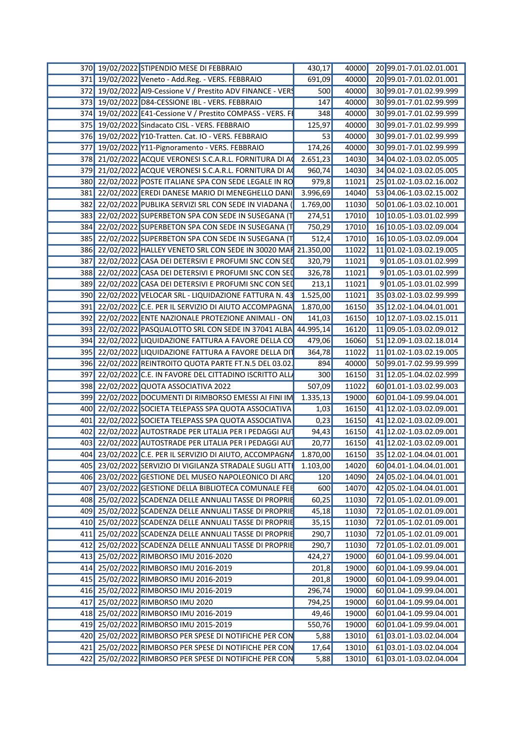|  | 370 19/02/2022 STIPENDIO MESE DI FEBBRAIO                         | 430,17   | 40000 | 20 99.01-7.01.02.01.001       |
|--|-------------------------------------------------------------------|----------|-------|-------------------------------|
|  | 371 19/02/2022 Veneto - Add.Reg. - VERS. FEBBRAIO                 | 691,09   | 40000 | 20 99.01-7.01.02.01.001       |
|  | 372 19/02/2022 AI9-Cessione V / Prestito ADV FINANCE - VERS       | 500      | 40000 | 30 99.01-7.01.02.99.999       |
|  | 373 19/02/2022 D84-CESSIONE IBL - VERS. FEBBRAIO                  | 147      | 40000 | 30 99.01-7.01.02.99.999       |
|  | 374 19/02/2022 E41-Cessione V / Prestito COMPASS - VERS. F        | 348      | 40000 | 30 99.01-7.01.02.99.999       |
|  | 375 19/02/2022 Sindacato CISL - VERS. FEBBRAIO                    | 125,97   | 40000 | 30 99.01-7.01.02.99.999       |
|  | 376 19/02/2022 Y10-Tratten. Cat. IO - VERS. FEBBRAIO              | -53      | 40000 | 30 99.01-7.01.02.99.999       |
|  | 377 19/02/2022 Y11-Pignoramento - VERS. FEBBRAIO                  | 174,26   | 40000 | 30 99.01-7.01.02.99.999       |
|  | 378 21/02/2022 ACQUE VERONESI S.C.A.R.L. FORNITURA DI AO          | 2.651,23 | 14030 | 34 04.02-1.03.02.05.005       |
|  |                                                                   |          |       |                               |
|  | 379 21/02/2022 ACQUE VERONESI S.C.A.R.L. FORNITURA DI A           | 960,74   | 14030 | 34 04.02-1.03.02.05.005       |
|  | 380 22/02/2022 POSTE ITALIANE SPA CON SEDE LEGALE IN RO           | 979,8    | 11021 | 25 01.02-1.03.02.16.002       |
|  | 381 22/02/2022 EREDI DANESE MARIO DI MENEGHELLO DANI              | 3.996,69 | 14040 | 53 04.06-1.03.02.15.002       |
|  | 382 22/02/2022 PUBLIKA SERVIZI SRL CON SEDE IN VIADANA            | 1.769,00 | 11030 | 50 01.06-1.03.02.10.001       |
|  | 383 22/02/2022 SUPERBETON SPA CON SEDE IN SUSEGANA (              | 274,51   | 17010 | 10 10.05-1.03.01.02.999       |
|  | 384 22/02/2022 SUPERBETON SPA CON SEDE IN SUSEGANA (              | 750,29   | 17010 | 16 10.05-1.03.02.09.004       |
|  | 385 22/02/2022 SUPERBETON SPA CON SEDE IN SUSEGANA (              | 512,4    | 17010 | 16 10.05-1.03.02.09.004       |
|  | 386 22/02/2022 HALLEY VENETO SRL CON SEDE IN 30020 MAR 21.350,00  |          | 11022 | 11 01.02-1.03.02.19.005       |
|  | 387 22/02/2022 CASA DEI DETERSIVI E PROFUMI SNC CON SEI           | 320,79   | 11021 | 901.05-1.03.01.02.999         |
|  | 388 22/02/2022 CASA DEI DETERSIVI E PROFUMI SNC CON SED           | 326,78   | 11021 | 901.05-1.03.01.02.999         |
|  | 389 22/02/2022 CASA DEI DETERSIVI E PROFUMI SNC CON SED           | 213,1    | 11021 | 901.05-1.03.01.02.999         |
|  | 390 22/02/2022 VELOCAR SRL - LIQUIDAZIONE FATTURA N. 43           | 1.525,00 | 11021 | 35 03.02-1.03.02.99.999       |
|  | 391 22/02/2022 C.E. PER IL SERVIZIO DI AIUTO ACCOMPAGNA           | 1.870,00 | 16150 | 35 12.02-1.04.04.01.001       |
|  | 392 22/02/2022 ENTE NAZIONALE PROTEZIONE ANIMALI - ON             | 141,03   | 16150 | 10 12.07-1.03.02.15.011       |
|  | 393 22/02/2022 PASQUALOTTO SRL CON SEDE IN 37041 ALBA 44.995,14   |          | 16120 | 11 09.05-1.03.02.09.012       |
|  | 394 22/02/2022 LIQUIDAZIONE FATTURA A FAVORE DELLA CO             | 479,06   | 16060 | 51 12.09-1.03.02.18.014       |
|  | 395 22/02/2022 LIQUIDAZIONE FATTURA A FAVORE DELLA DI             | 364,78   | 11022 | 11 01.02-1.03.02.19.005       |
|  | 396 22/02/2022 REINTROITO QUOTA PARTE FT.N.5 DEL 03.02.           | 894      | 40000 | 50 99.01-7.02.99.99.999       |
|  | 397 22/02/2022 C.E. IN FAVORE DEL CITTADINO ISCRITTO ALL          | 300      | 16150 | 31 12.05-1.04.02.02.999       |
|  | 398 22/02/2022 QUOTA ASSOCIATIVA 2022                             | 507,09   | 11022 | 60 01.01-1.03.02.99.003       |
|  |                                                                   |          |       |                               |
|  | 399 22/02/2022 DOCUMENTI DI RIMBORSO EMESSI AI FINI IM            | 1.335,13 | 19000 | 60 01.04-1.09.99.04.001       |
|  | 400 22/02/2022 SOCIETA TELEPASS SPA QUOTA ASSOCIATIVA             | 1,03     | 16150 | 41 12.02-1.03.02.09.001       |
|  | 401 22/02/2022 SOCIETA TELEPASS SPA QUOTA ASSOCIATIVA             | 0,23     | 16150 | 41 12.02-1.03.02.09.001       |
|  | 402 22/02/2022 AUTOSTRADE PER LITALIA PER I PEDAGGI AU            | 94,43    | 16150 | 41 12.02-1.03.02.09.001       |
|  | 403 22/02/2022 AUTOSTRADE PER LITALIA PER I PEDAGGI AUT           | 20,77    | 16150 | 41 12.02-1.03.02.09.001       |
|  | 404 23/02/2022 C.E. PER IL SERVIZIO DI AIUTO, ACCOMPAGNA 1.870,00 |          |       | 16150 35 12.02-1.04.04.01.001 |
|  | 405 23/02/2022 SERVIZIO DI VIGILANZA STRADALE SUGLI ATTI 1.103,00 |          | 14020 | 60 04.01-1.04.04.01.001       |
|  | 406 23/02/2022 GESTIONE DEL MUSEO NAPOLEONICO DI ARC              | 120      | 14090 | 24 05.02-1.04.04.01.001       |
|  | 407 23/02/2022 GESTIONE DELLA BIBLIOTECA COMUNALE FEE             | 600      | 14070 | 42 05.02-1.04.04.01.001       |
|  | 408 25/02/2022 SCADENZA DELLE ANNUALI TASSE DI PROPRIE            | 60,25    | 11030 | 72 01.05-1.02.01.09.001       |
|  | 409 25/02/2022 SCADENZA DELLE ANNUALI TASSE DI PROPRIE            | 45,18    | 11030 | 72 01.05-1.02.01.09.001       |
|  | 410 25/02/2022 SCADENZA DELLE ANNUALI TASSE DI PROPRIE            | 35,15    | 11030 | 72 01.05-1.02.01.09.001       |
|  | 411 25/02/2022 SCADENZA DELLE ANNUALI TASSE DI PROPRIE            | 290,7    | 11030 | 72 01.05-1.02.01.09.001       |
|  | 412 25/02/2022 SCADENZA DELLE ANNUALI TASSE DI PROPRIE            | 290,7    | 11030 | 72 01.05-1.02.01.09.001       |
|  | 413 25/02/2022 RIMBORSO IMU 2016-2020                             | 424,27   | 19000 | 60 01.04-1.09.99.04.001       |
|  |                                                                   |          | 19000 |                               |
|  | 414 25/02/2022 RIMBORSO IMU 2016-2019                             | 201,8    |       | 60 01.04-1.09.99.04.001       |
|  | 415 25/02/2022 RIMBORSO IMU 2016-2019                             | 201,8    | 19000 | 60 01.04-1.09.99.04.001       |
|  | 416 25/02/2022 RIMBORSO IMU 2016-2019                             | 296,74   | 19000 | 60 01.04-1.09.99.04.001       |
|  | 417 25/02/2022 RIMBORSO IMU 2020                                  | 794,25   | 19000 | 60 01.04-1.09.99.04.001       |
|  | 418 25/02/2022 RIMBORSO IMU 2016-2019                             | 49,46    | 19000 | 60 01.04-1.09.99.04.001       |
|  | 419 25/02/2022 RIMBORSO IMU 2015-2019                             | 550,76   | 19000 | 60 01.04-1.09.99.04.001       |
|  | 420 25/02/2022 RIMBORSO PER SPESE DI NOTIFICHE PER CON            | 5,88     | 13010 | 6103.01-1.03.02.04.004        |
|  | 421 25/02/2022 RIMBORSO PER SPESE DI NOTIFICHE PER CON            | 17,64    | 13010 | 61 03.01-1.03.02.04.004       |
|  | 422 25/02/2022 RIMBORSO PER SPESE DI NOTIFICHE PER CON            | 5,88     | 13010 | 61 03.01-1.03.02.04.004       |
|  |                                                                   |          |       |                               |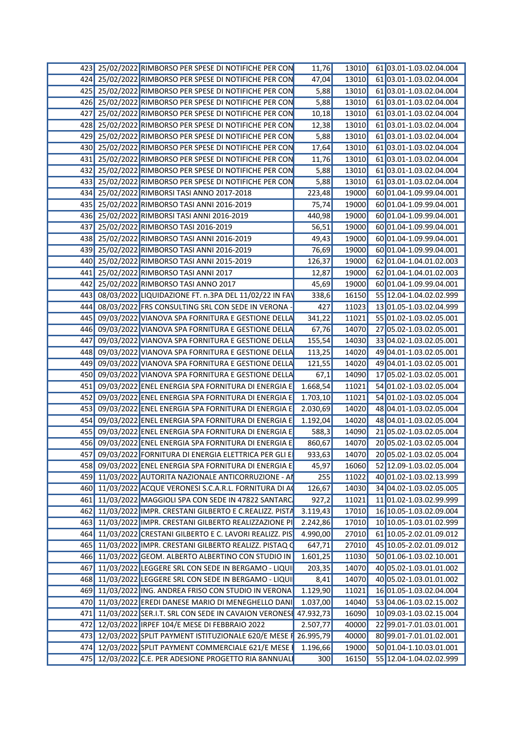|     | 423 25/02/2022 RIMBORSO PER SPESE DI NOTIFICHE PER CON            | 11,76    | 61 03.01-1.03.02.04.004<br>13010 |
|-----|-------------------------------------------------------------------|----------|----------------------------------|
|     | 424 25/02/2022 RIMBORSO PER SPESE DI NOTIFICHE PER CON            | 47,04    | 6103.01-1.03.02.04.004<br>13010  |
|     | 425 25/02/2022 RIMBORSO PER SPESE DI NOTIFICHE PER COM            | 5,88     | 13010<br>61 03.01-1.03.02.04.004 |
|     | 426 25/02/2022 RIMBORSO PER SPESE DI NOTIFICHE PER CON            | 5,88     | 61 03.01-1.03.02.04.004<br>13010 |
|     | 427 25/02/2022 RIMBORSO PER SPESE DI NOTIFICHE PER CON            | 10,18    | 6103.01-1.03.02.04.004<br>13010  |
|     | 428 25/02/2022 RIMBORSO PER SPESE DI NOTIFICHE PER CON            | 12,38    | 61 03.01-1.03.02.04.004<br>13010 |
| 429 | 25/02/2022 RIMBORSO PER SPESE DI NOTIFICHE PER CON                | 5,88     | 61 03.01-1.03.02.04.004<br>13010 |
|     | 430 25/02/2022 RIMBORSO PER SPESE DI NOTIFICHE PER CON            | 17,64    | 61 03.01-1.03.02.04.004<br>13010 |
|     | 431 25/02/2022 RIMBORSO PER SPESE DI NOTIFICHE PER CON            | 11,76    | 13010<br>61 03.01-1.03.02.04.004 |
|     | 432 25/02/2022 RIMBORSO PER SPESE DI NOTIFICHE PER CON            | 5,88     | 61 03.01-1.03.02.04.004<br>13010 |
|     | 433 25/02/2022 RIMBORSO PER SPESE DI NOTIFICHE PER CON            | 5,88     | 6103.01-1.03.02.04.004<br>13010  |
|     | 434 25/02/2022 RIMBORSI TASI ANNO 2017-2018                       | 223,48   | 19000<br>60 01.04-1.09.99.04.001 |
|     |                                                                   |          | 19000<br>60 01.04-1.09.99.04.001 |
|     | 435 25/02/2022 RIMBORSO TASI ANNI 2016-2019                       | 75,74    |                                  |
|     | 436 25/02/2022 RIMBORSI TASI ANNI 2016-2019                       | 440,98   | 19000<br>60 01.04-1.09.99.04.001 |
|     | 437 25/02/2022 RIMBORSO TASI 2016-2019                            | 56,51    | 19000<br>60 01.04-1.09.99.04.001 |
|     | 438 25/02/2022 RIMBORSO TASI ANNI 2016-2019                       | 49,43    | 60 01.04-1.09.99.04.001<br>19000 |
|     | 439 25/02/2022 RIMBORSO TASI ANNI 2016-2019                       | 76,69    | 19000<br>60 01.04-1.09.99.04.001 |
|     | 440 25/02/2022 RIMBORSO TASI ANNI 2015-2019                       | 126,37   | 19000<br>62 01.04-1.04.01.02.003 |
|     | 441 25/02/2022 RIMBORSO TASI ANNI 2017                            | 12,87    | 19000<br>62 01.04-1.04.01.02.003 |
|     | 442 25/02/2022 RIMBORSO TASI ANNO 2017                            | 45,69    | 19000<br>60 01.04-1.09.99.04.001 |
|     | 443 08/03/2022 LIQUIDAZIONE FT. n.3PA DEL 11/02/22 IN FAV         | 338,6    | 55 12.04-1.04.02.02.999<br>16150 |
|     | 444 08/03/2022 FRS CONSULTING SRL CON SEDE IN VERONA              | 427      | 11023<br>13 01.05-1.03.02.04.999 |
|     | 445 09/03/2022 VIANOVA SPA FORNITURA E GESTIONE DELLA             | 341,22   | 11021<br>55 01.02-1.03.02.05.001 |
|     | 446 09/03/2022 VIANOVA SPA FORNITURA E GESTIONE DELLA             | 67,76    | 14070<br>27 05.02-1.03.02.05.001 |
|     | 447 09/03/2022 VIANOVA SPA FORNITURA E GESTIONE DELL              | 155,54   | 14030<br>33 04.02-1.03.02.05.001 |
|     | 448 09/03/2022 VIANOVA SPA FORNITURA E GESTIONE DELLA             | 113,25   | 14020<br>49 04.01-1.03.02.05.001 |
|     | 449 09/03/2022 VIANOVA SPA FORNITURA E GESTIONE DELLA             | 121,55   | 14020<br>49 04.01-1.03.02.05.001 |
|     | 450 09/03/2022 VIANOVA SPA FORNITURA E GESTIONE DELLA             | 67,1     | 14090<br>17 05.02-1.03.02.05.001 |
|     | 451 09/03/2022 ENEL ENERGIA SPA FORNITURA DI ENERGIA E            | 1.668,54 | 11021<br>54 01.02-1.03.02.05.004 |
|     | 452 09/03/2022 ENEL ENERGIA SPA FORNITURA DI ENERGIA E            | 1.703,10 | 11021<br>54 01.02-1.03.02.05.004 |
|     | 453 09/03/2022 ENEL ENERGIA SPA FORNITURA DI ENERGIA E            | 2.030,69 | 14020<br>48 04.01-1.03.02.05.004 |
|     |                                                                   |          |                                  |
|     | 454 09/03/2022 ENEL ENERGIA SPA FORNITURA DI ENERGIA E            | 1.192,04 | 14020<br>48 04.01-1.03.02.05.004 |
|     | 455 09/03/2022 ENEL ENERGIA SPA FORNITURA DI ENERGIA E            | 588,3    | 14090<br>21 05.02-1.03.02.05.004 |
|     | 456 09/03/2022 ENEL ENERGIA SPA FORNITURA DI ENERGIA E            | 860,67   | 20 05.02-1.03.02.05.004<br>14070 |
|     | 457 09/03/2022 FORNITURA DI ENERGIA ELETTRICA PER GLI E           | 933,63   | 14070 2005.02-1.03.02.05.004     |
|     | 458 09/03/2022 ENEL ENERGIA SPA FORNITURA DI ENERGIA E            | 45,97    | 16060 52 12.09-1.03.02.05.004    |
|     | 459 11/03/2022 AUTORITA NAZIONALE ANTICORRUZIONE - AI             | 255      | 11022<br>40 01.02-1.03.02.13.999 |
|     | 460 11/03/2022 ACQUE VERONESI S.C.A.R.L. FORNITURA DI AO          | 126,67   | 14030 34 04.02-1.03.02.05.005    |
|     | 461 11/03/2022 MAGGIOLI SPA CON SEDE IN 47822 SANTARC             | 927,2    | 11021<br>11 01.02-1.03.02.99.999 |
|     | 462 11/03/2022 IMPR. CRESTANI GILBERTO E C.REALIZZ. PISTA         | 3.119,43 | 17010<br>16 10.05-1.03.02.09.004 |
|     | 463 11/03/2022 IMPR. CRESTANI GILBERTO REALIZZAZIONE PI           | 2.242,86 | 17010 10 10.05-1.03.01.02.999    |
|     | 464 11/03/2022 CRESTANI GILBERTO E C. LAVORI REALIZZ. PIS         | 4.990,00 | 27010 61 10.05-2.02.01.09.012    |
|     | 465 11/03/2022 IMPR. CRESTANI GILBERTO REALIZZ. PISTAQ C          | 647,71   | 45 10.05-2.02.01.09.012<br>27010 |
|     | 466 11/03/2022 GEOM. ALBERTO ALBERTINO CON STUDIO IN              | 1.601,25 | 11030<br>50 01.06-1.03.02.10.001 |
|     | 467 11/03/2022 LEGGERE SRL CON SEDE IN BERGAMO - LIQU             | 203,35   | 14070<br>40 05.02-1.03.01.01.002 |
|     | 468 11/03/2022 LEGGERE SRL CON SEDE IN BERGAMO - LIQU             | 8,41     | 14070<br>40 05.02-1.03.01.01.002 |
|     | 469 11/03/2022 ING. ANDREA FRISO CON STUDIO IN VERONA             | 1.129,90 | 11021<br>16 01.05-1.03.02.04.004 |
|     |                                                                   |          |                                  |
|     | 470 11/03/2022 EREDI DANESE MARIO DI MENEGHELLO DANI              | 1.037,00 | 14040<br>53 04.06-1.03.02.15.002 |
|     | 471 11/03/2022 SER.I.T. SRL CON SEDE IN CAVAION VERONES 47.932,73 |          | 16090 10 09.03-1.03.02.15.004    |
|     | 472 12/03/2022 IRPEF 104/E MESE DI FEBBRAIO 2022                  | 2.507,77 | 40000<br>22 99.01-7.01.03.01.001 |
|     | 473 12/03/2022 SPLIT PAYMENT ISTITUZIONALE 620/E MESE F 26.995,79 |          | 80 99.01-7.01.01.02.001<br>40000 |
|     | 474 12/03/2022 SPLIT PAYMENT COMMERCIALE 621/E MESE I             | 1.196,66 | 19000 50 01.04-1.10.03.01.001    |
|     | 475 12/03/2022 C.E. PER ADESIONE PROGETTO RIA 8ANNUAL             | 300      | 16150 55 12.04-1.04.02.02.999    |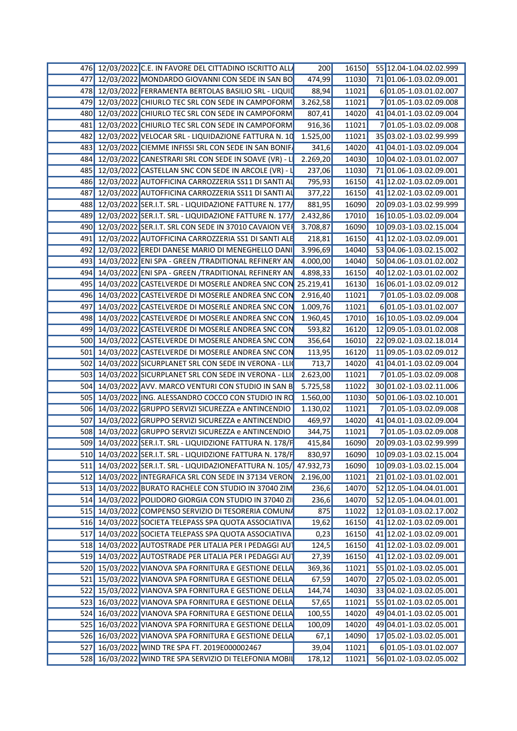|  | 476 12/03/2022 C.E. IN FAVORE DEL CITTADINO ISCRITTO ALL            | 200      | 16150 | 55 12.04-1.04.02.02.999       |
|--|---------------------------------------------------------------------|----------|-------|-------------------------------|
|  | 477 12/03/2022 MONDARDO GIOVANNI CON SEDE IN SAN BO                 | 474,99   | 11030 | 71 01.06-1.03.02.09.001       |
|  | 478 12/03/2022 FERRAMENTA BERTOLAS BASILIO SRL - LIQUID             | 88,94    | 11021 | 601.05-1.03.01.02.007         |
|  | 479 12/03/2022 CHIURLO TEC SRL CON SEDE IN CAMPOFORM                | 3.262,58 | 11021 | 701.05-1.03.02.09.008         |
|  | 480 12/03/2022 CHIURLO TEC SRL CON SEDE IN CAMPOFORM                | 807,41   | 14020 | 41 04.01-1.03.02.09.004       |
|  | 481 12/03/2022 CHIURLO TEC SRL CON SEDE IN CAMPOFORM                | 916,36   | 11021 | 701.05-1.03.02.09.008         |
|  | 482 12/03/2022 VELOCAR SRL - LIQUIDAZIONE FATTURA N. 10             | 1.525,00 | 11021 | 35 03.02-1.03.02.99.999       |
|  | 483 12/03/2022 CIEMME INFISSI SRL CON SEDE IN SAN BONIF             | 341,6    | 14020 | 41 04.01-1.03.02.09.004       |
|  | 484 12/03/2022 CANESTRARI SRL CON SEDE IN SOAVE (VR) - L            | 2.269,20 | 14030 | 10 04.02-1.03.01.02.007       |
|  | 485 12/03/2022 CASTELLAN SNC CON SEDE IN ARCOLE (VR)                | 237,06   | 11030 | 71 01.06-1.03.02.09.001       |
|  | 486 12/03/2022 AUTOFFICINA CARROZZERIA SS11 DI SANTI AI             | 795,93   | 16150 | 41 12.02-1.03.02.09.001       |
|  | 487 12/03/2022 AUTOFFICINA CARROZZERIA SS11 DI SANTI AI             | 377,22   | 16150 | 41 12.02-1.03.02.09.001       |
|  |                                                                     |          |       |                               |
|  | 488 12/03/2022 SER.I.T. SRL - LIQUIDAZIONE FATTURE N. 177           | 881,95   | 16090 | 20 09.03-1.03.02.99.999       |
|  | 489 12/03/2022 SER.I.T. SRL - LIQUIDAZIONE FATTURE N. 177/          | 2.432,86 | 17010 | 16 10.05-1.03.02.09.004       |
|  | 490 12/03/2022 SER.I.T. SRL CON SEDE IN 37010 CAVAION VEH           | 3.708,87 | 16090 | 10 09.03-1.03.02.15.004       |
|  | 491 12/03/2022 AUTOFFICINA CARROZZERIA SS1 DI SANTI ALE             | 218,81   | 16150 | 41 12.02-1.03.02.09.001       |
|  | 492 12/03/2022 EREDI DANESE MARIO DI MENEGHELLO DANI                | 3.996,69 | 14040 | 53 04.06-1.03.02.15.002       |
|  | 493 14/03/2022 ENI SPA - GREEN /TRADITIONAL REFINERY AN             | 4.000,00 | 14040 | 50 04.06-1.03.01.02.002       |
|  | 494 14/03/2022 ENI SPA - GREEN /TRADITIONAL REFINERY AN             | 4.898,33 | 16150 | 40 12.02-1.03.01.02.002       |
|  | 495 14/03/2022 CASTELVERDE DI MOSERLE ANDREA SNC CON 25.219,41      |          | 16130 | 16 06.01-1.03.02.09.012       |
|  | 496 14/03/2022 CASTELVERDE DI MOSERLE ANDREA SNC CON 2.916,40       |          | 11021 | 701.05-1.03.02.09.008         |
|  | 497 14/03/2022 CASTELVERDE DI MOSERLE ANDREA SNC CON                | 1.009,76 | 11021 | 601.05-1.03.01.02.007         |
|  | 498 14/03/2022 CASTELVERDE DI MOSERLE ANDREA SNC CON                | 1.960,45 | 17010 | 16 10.05-1.03.02.09.004       |
|  | 499 14/03/2022 CASTELVERDE DI MOSERLE ANDREA SNC CON                | 593,82   | 16120 | 12 09.05-1.03.01.02.008       |
|  | 500 14/03/2022 CASTELVERDE DI MOSERLE ANDREA SNC CON                | 356,64   | 16010 | 22 09.02-1.03.02.18.014       |
|  | 501 14/03/2022 CASTELVERDE DI MOSERLE ANDREA SNC CON                | 113,95   | 16120 | 11 09.05-1.03.02.09.012       |
|  | 502 14/03/2022 SICURPLANET SRL CON SEDE IN VERONA - LLI             | 713,7    | 14020 | 41 04.01-1.03.02.09.004       |
|  | 503 14/03/2022 SICURPLANET SRL CON SEDE IN VERONA - LLIC            | 2.623,00 | 11021 | 701.05-1.03.02.09.008         |
|  | 504 14/03/2022 AVV. MARCO VENTURI CON STUDIO IN SAN B               | 5.725,58 | 11022 | 30 01.02-1.03.02.11.006       |
|  | 505 14/03/2022 ING. ALESSANDRO COCCO CON STUDIO IN RC 1.560,00      |          | 11030 | 50 01.06-1.03.02.10.001       |
|  | 506 14/03/2022 GRUPPO SERVIZI SICUREZZA e ANTINCENDIO               | 1.130,02 | 11021 | 701.05-1.03.02.09.008         |
|  | 507 14/03/2022 GRUPPO SERVIZI SICUREZZA e ANTINCENDIO               | 469,97   | 14020 | 41 04.01-1.03.02.09.004       |
|  | 508 14/03/2022 GRUPPO SERVIZI SICUREZZA e ANTINCENDIO               | 344,75   | 11021 | 701.05-1.03.02.09.008         |
|  | 509 14/03/2022 SER.I.T. SRL - LIQUIDZIONE FATTURA N. 178/F          |          | 16090 | 20 09.03-1.03.02.99.999       |
|  |                                                                     | 415,84   |       |                               |
|  | 510 14/03/2022 SER.I.T. SRL - LIQUIDZIONE FATTURA N. 178/F 830,97   |          |       | 16090 10 09.03-1.03.02.15.004 |
|  | 511 14/03/2022 SER.I.T. SRL - LIQUIDAZIONEFATTURA N. 105/ 47.932,73 |          |       | 16090 10 09.03-1.03.02.15.004 |
|  | 512 14/03/2022 INTEGRAFICA SRL CON SEDE IN 37134 VERON 2.196,00     |          |       | 11021 21 01.02-1.03.01.02.001 |
|  | 513 14/03/2022 BURATO RACHELE CON STUDIO IN 37040 ZIM               | 236,6    |       | 14070 52 12.05-1.04.04.01.001 |
|  | 514 14/03/2022 POLIDORO GIORGIA CON STUDIO IN 37040 ZI              | 236,6    |       | 14070 52 12.05-1.04.04.01.001 |
|  | 515 14/03/2022 COMPENSO SERVIZIO DI TESORERIA COMUNA                | 875      | 11022 | $12$ 01.03-1.03.02.17.002     |
|  | 516 14/03/2022 SOCIETA TELEPASS SPA QUOTA ASSOCIATIVA               | 19,62    | 16150 | 41 12.02-1.03.02.09.001       |
|  | 517 14/03/2022 SOCIETA TELEPASS SPA QUOTA ASSOCIATIVA               | 0,23     |       | 16150 41 12.02-1.03.02.09.001 |
|  | 518 14/03/2022 AUTOSTRADE PER LITALIA PER I PEDAGGI AUT             | 124,5    |       | 16150 41 12.02-1.03.02.09.001 |
|  | 519 14/03/2022 AUTOSTRADE PER LITALIA PER I PEDAGGI AUT             | 27,39    | 16150 | 41 12.02-1.03.02.09.001       |
|  | 520 15/03/2022 VIANOVA SPA FORNITURA E GESTIONE DELLA               | 369,36   | 11021 | 55 01.02-1.03.02.05.001       |
|  | 521 15/03/2022 VIANOVA SPA FORNITURA E GESTIONE DELLA               | 67,59    |       | 14070 27 05.02-1.03.02.05.001 |
|  | 522 15/03/2022 VIANOVA SPA FORNITURA E GESTIONE DELLA               | 144,74   |       | 14030 33 04.02-1.03.02.05.001 |
|  | 523 16/03/2022 VIANOVA SPA FORNITURA E GESTIONE DELLA               | 57,65    |       | 11021 55 01.02-1.03.02.05.001 |
|  | 524 16/03/2022 VIANOVA SPA FORNITURA E GESTIONE DELLA               | 100,55   |       | 14020 49 04.01-1.03.02.05.001 |
|  | 525 16/03/2022 VIANOVA SPA FORNITURA E GESTIONE DELLA               | 100,09   | 14020 | 49 04.01-1.03.02.05.001       |
|  |                                                                     |          |       |                               |
|  | 526 16/03/2022 VIANOVA SPA FORNITURA E GESTIONE DELLA               | 67,1     | 14090 | 17 05 02-1 03 02 05 001       |
|  | 527 16/03/2022 WIND TRE SPA FT. 2019E000002467                      | 39,04    | 11021 | 6 01.05-1.03.01.02.007        |
|  | 528 16/03/2022 WIND TRE SPA SERVIZIO DI TELEFONIA MOBIL             | 178,12   |       | 11021 56 01.02-1.03.02.05.002 |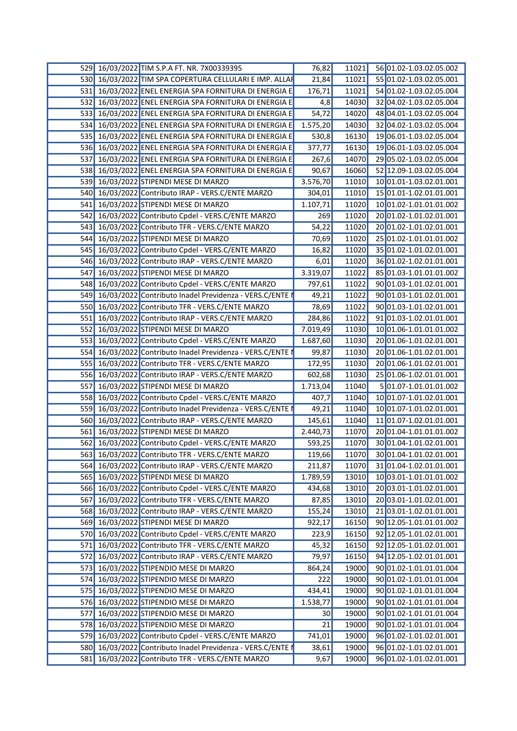|              | 529 16/03/2022 TIM S.P.A FT. NR. 7X00339395             | 76,82    | 11021 | 56 01.02-1.03.02.05.002 |
|--------------|---------------------------------------------------------|----------|-------|-------------------------|
| 530 <b>1</b> | 16/03/2022 TIM SPA COPERTURA CELLULARI E IMP. ALLA      | 21,84    | 11021 | 55 01.02-1.03.02.05.001 |
| 531          | 16/03/2022 ENEL ENERGIA SPA FORNITURA DI ENERGIA E      | 176,71   | 11021 | 54 01.02-1.03.02.05.004 |
| 532          | 16/03/2022 ENEL ENERGIA SPA FORNITURA DI ENERGIA E      | 4,8      | 14030 | 32 04.02-1.03.02.05.004 |
| 533          | 16/03/2022 ENEL ENERGIA SPA FORNITURA DI ENERGIA E      | 54,72    | 14020 | 48 04.01-1.03.02.05.004 |
| 534          | 16/03/2022 ENEL ENERGIA SPA FORNITURA DI ENERGIA E      | 1.575,20 | 14030 | 32 04.02-1.03.02.05.004 |
| 535          | 16/03/2022 ENEL ENERGIA SPA FORNITURA DI ENERGIA E      | 530,8    | 16130 | 19 06.01-1.03.02.05.004 |
| 536          | 16/03/2022 ENEL ENERGIA SPA FORNITURA DI ENERGIA E      | 377,77   | 16130 | 19 06.01-1.03.02.05.004 |
| 537          | 16/03/2022 ENEL ENERGIA SPA FORNITURA DI ENERGIA E      | 267,6    | 14070 | 29 05.02-1.03.02.05.004 |
| 538          | 16/03/2022 ENEL ENERGIA SPA FORNITURA DI ENERGIA E      | 90,67    | 16060 | 52 12.09-1.03.02.05.004 |
| 539          | 16/03/2022 STIPENDI MESE DI MARZO                       | 3.576,70 | 11010 | 10 01.01-1.03.02.01.001 |
| 540 <b>I</b> | 16/03/2022 Contributo IRAP - VERS.C/ENTE MARZO          | 304,01   | 11010 | 15 01.01-1.02.01.01.001 |
| 541          | 16/03/2022 STIPENDI MESE DI MARZO                       | 1.107,71 | 11020 | 10 01.02-1.01.01.01.002 |
| 542          | 16/03/2022 Contributo Cpdel - VERS.C/ENTE MARZO         | 269      | 11020 | 20 01.02-1.01.02.01.001 |
| 543          | 16/03/2022 Contributo TFR - VERS.C/ENTE MARZO           | 54,22    | 11020 | 20 01.02-1.01.02.01.001 |
| 544          | 16/03/2022 STIPENDI MESE DI MARZO                       | 70,69    | 11020 | 25 01.02-1.01.01.01.002 |
|              | 545 16/03/2022 Contributo Cpdel - VERS.C/ENTE MARZO     | 16,82    | 11020 | 35 01.02-1.01.02.01.001 |
| <b>546</b>   | 16/03/2022 Contributo IRAP - VERS.C/ENTE MARZO          | 6,01     | 11020 | 36 01.02-1.02.01.01.001 |
| 547          | 16/03/2022 STIPENDI MESE DI MARZO                       | 3.319,07 | 11022 | 85 01.03-1.01.01.01.002 |
| 548          | 16/03/2022 Contributo Cpdel - VERS.C/ENTE MARZO         | 797,61   | 11022 | 90 01.03-1.01.02.01.001 |
| 549          | 16/03/2022 Contributo Inadel Previdenza - VERS.C/ENTE I | 49,21    | 11022 | 90 01.03-1.01.02.01.001 |
|              | 550 16/03/2022 Contributo TFR - VERS.C/ENTE MARZO       | 78,69    | 11022 | 90 01.03-1.01.02.01.001 |
| 551          | 16/03/2022 Contributo IRAP - VERS.C/ENTE MARZO          | 284,86   | 11022 | 91 01.03-1.02.01.01.001 |
| 552          | 16/03/2022 STIPENDI MESE DI MARZO                       | 7.019,49 | 11030 | 10 01.06-1.01.01.01.002 |
| 553          | 16/03/2022 Contributo Cpdel - VERS.C/ENTE MARZO         | 1.687,60 | 11030 | 20 01.06-1.01.02.01.001 |
| 554          | 16/03/2022 Contributo Inadel Previdenza - VERS.C/ENTE I | 99,87    | 11030 | 20 01.06-1.01.02.01.001 |
| 555          | 16/03/2022 Contributo TFR - VERS.C/ENTE MARZO           | 172,95   | 11030 | 20 01.06-1.01.02.01.001 |
|              | 556 16/03/2022 Contributo IRAP - VERS.C/ENTE MARZO      | 602,68   | 11030 | 25 01.06-1.02.01.01.001 |
| 557          | 16/03/2022 STIPENDI MESE DI MARZO                       | 1.713,04 | 11040 | 5 01.07-1.01.01.01.002  |
| 558          | 16/03/2022 Contributo Cpdel - VERS.C/ENTE MARZO         | 407,7    | 11040 | 10 01.07-1.01.02.01.001 |
| 559          | 16/03/2022 Contributo Inadel Previdenza - VERS.C/ENTE I | 49,21    | 11040 | 10 01.07-1.01.02.01.001 |
| 560          | 16/03/2022 Contributo IRAP - VERS.C/ENTE MARZO          | 145,61   | 11040 | 11 01.07-1.02.01.01.001 |
| 561          | 16/03/2022 STIPENDI MESE DI MARZO                       | 2.440,73 | 11070 | 20 01.04-1.01.01.01.002 |
|              | 562 16/03/2022 Contributo Cpdel - VERS.C/ENTE MARZO     | 593,25   | 11070 | 30 01.04-1.01.02.01.001 |
|              | 563 16/03/2022 Contributo TFR - VERS.C/ENTE MARZO       | 119,66   | 11070 | 30 01.04-1.01.02.01.001 |
| 5641         | 16/03/2022 Contributo IRAP - VERS.C/ENTE MARZO          | 211,87   | 11070 | 31 01.04-1.02.01.01.001 |
|              | 565 16/03/2022 STIPENDI MESE DI MARZO                   | 1.789,59 | 13010 | 10 03.01-1.01.01.01.002 |
|              | 566 16/03/2022 Contributo Cpdel - VERS.C/ENTE MARZO     | 434,68   | 13010 | 20 03.01-1.01.02.01.001 |
| 567          | 16/03/2022 Contributo TFR - VERS.C/ENTE MARZO           | 87,85    | 13010 | 20 03.01-1.01.02.01.001 |
| 5681         | 16/03/2022 Contributo IRAP - VERS.C/ENTE MARZO          | 155,24   | 13010 | 21 03.01-1.02.01.01.001 |
| 569          | 16/03/2022 STIPENDI MESE DI MARZO                       | 922,17   | 16150 | 90 12.05-1.01.01.01.002 |
| 570          | 16/03/2022 Contributo Cpdel - VERS.C/ENTE MARZO         | 223,9    | 16150 | 92 12.05-1.01.02.01.001 |
| 571          | 16/03/2022 Contributo TFR - VERS.C/ENTE MARZO           | 45,32    | 16150 | 92 12.05-1.01.02.01.001 |
| 572          | 16/03/2022 Contributo IRAP - VERS.C/ENTE MARZO          | 79,97    | 16150 | 94 12.05-1.02.01.01.001 |
| 573          | 16/03/2022 STIPENDIO MESE DI MARZO                      | 864,24   | 19000 | 90 01.02-1.01.01.01.004 |
| 574          | 16/03/2022 STIPENDIO MESE DI MARZO                      | 222      | 19000 | 90 01.02-1.01.01.01.004 |
| 575          | 16/03/2022 STIPENDIO MESE DI MARZO                      | 434,41   | 19000 | 90 01.02-1.01.01.01.004 |
| 576          | 16/03/2022 STIPENDIO MESE DI MARZO                      | 1.538,77 | 19000 | 90 01.02-1.01.01.01.004 |
| 577          | 16/03/2022 STIPENDIO MESE DI MARZO                      | 30       | 19000 | 90 01.02-1.01.01.01.004 |
|              | 578 16/03/2022 STIPENDIO MESE DI MARZO                  | 21       | 19000 | 90 01.02-1.01.01.01.004 |
| 579          | 16/03/2022 Contributo Cpdel - VERS.C/ENTE MARZO         | 741,01   | 19000 | 96 01.02-1.01.02.01.001 |
| 580          | 16/03/2022 Contributo Inadel Previdenza - VERS.C/ENTE I | 38,61    | 19000 | 96 01.02-1.01.02.01.001 |
| 581          | 16/03/2022 Contributo TFR - VERS.C/ENTE MARZO           | 9,67     | 19000 | 96 01.02-1.01.02.01.001 |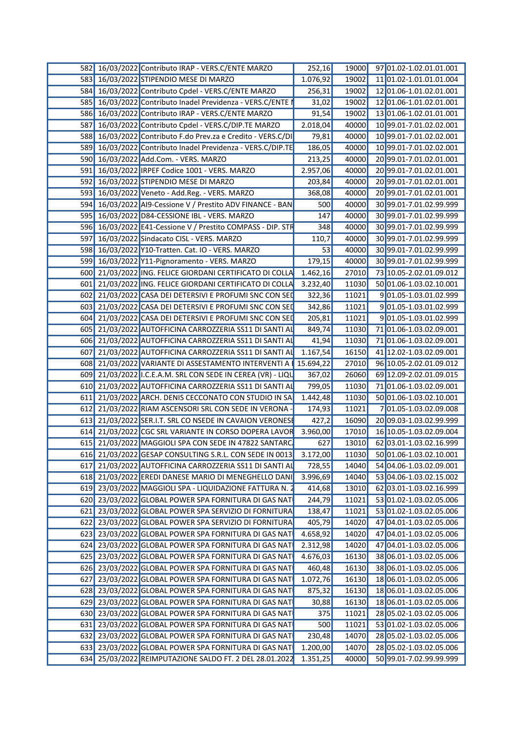|  | 582 16/03/2022 Contributo IRAP - VERS.C/ENTE MARZO               | 252,16   | 19000 | 97 01.02-1.02.01.01.001       |
|--|------------------------------------------------------------------|----------|-------|-------------------------------|
|  | 583 16/03/2022 STIPENDIO MESE DI MARZO                           | 1.076,92 | 19002 | 11 01.02-1.01.01.01.004       |
|  | 584 16/03/2022 Contributo Cpdel - VERS.C/ENTE MARZO              | 256,31   | 19002 | 12 01.06-1.01.02.01.001       |
|  | 585 16/03/2022 Contributo Inadel Previdenza - VERS.C/ENTE        | 31,02    | 19002 | 12 01.06-1.01.02.01.001       |
|  | 586 16/03/2022 Contributo IRAP - VERS.C/ENTE MARZO               | 91,54    | 19002 | 13 01.06-1.02.01.01.001       |
|  | 587 16/03/2022 Contributo Cpdel - VERS.C/DIP.TE MARZO            | 2.018,04 | 40000 | 10 99.01-7.01.02.02.001       |
|  | 588 16/03/2022 Contributo F.do Prev.za e Credito - VERS.C/D      | 79,81    | 40000 | 10 99.01-7.01.02.02.001       |
|  | 589 16/03/2022 Contributo Inadel Previdenza - VERS.C/DIP.TE      | 186,05   | 40000 | 10 99.01-7.01.02.02.001       |
|  | 590 16/03/2022 Add.Com. - VERS. MARZO                            | 213,25   | 40000 | 20 99.01-7.01.02.01.001       |
|  | 591 16/03/2022 IRPEF Codice 1001 - VERS. MARZO                   | 2.957,06 | 40000 | 20 99.01-7.01.02.01.001       |
|  | 592 16/03/2022 STIPENDIO MESE DI MARZO                           | 203,84   | 40000 | 20 99.01-7.01.02.01.001       |
|  | 593 16/03/2022 Veneto - Add.Reg. - VERS. MARZO                   | 368,08   | 40000 | 20 99.01-7.01.02.01.001       |
|  | 594 16/03/2022 AI9-Cessione V / Prestito ADV FINANCE - BAN       | 500      | 40000 | 30 99.01-7.01.02.99.999       |
|  | 595 16/03/2022 D84-CESSIONE IBL - VERS. MARZO                    | 147      | 40000 | 30 99.01-7.01.02.99.999       |
|  |                                                                  | 348      |       |                               |
|  | 596 16/03/2022 E41-Cessione V / Prestito COMPASS - DIP. STF      |          | 40000 | 30 99.01-7.01.02.99.999       |
|  | 597 16/03/2022 Sindacato CISL - VERS. MARZO                      | 110,7    | 40000 | 30 99.01-7.01.02.99.999       |
|  | 598 16/03/2022 Y10-Tratten. Cat. IO - VERS. MARZO                | 53       | 40000 | 30 99.01-7.01.02.99.999       |
|  | 599 16/03/2022 Y11-Pignoramento - VERS. MARZO                    | 179,15   | 40000 | 30 99.01-7.01.02.99.999       |
|  | 600 21/03/2022 ING. FELICE GIORDANI CERTIFICATO DI COLLA         | 1.462,16 | 27010 | 73 10.05-2.02.01.09.012       |
|  | 601 21/03/2022 ING. FELICE GIORDANI CERTIFICATO DI COLLA         | 3.232,40 | 11030 | 50 01.06-1.03.02.10.001       |
|  | 602 21/03/2022 CASA DEI DETERSIVI E PROFUMI SNC CON SEL          | 322,36   | 11021 | 901.05-1.03.01.02.999         |
|  | 603 21/03/2022 CASA DEI DETERSIVI E PROFUMI SNC CON SEI          | 342,86   | 11021 | 901.05-1.03.01.02.999         |
|  | 604 21/03/2022 CASA DEI DETERSIVI E PROFUMI SNC CON SEI          | 205,81   | 11021 | 901.05-1.03.01.02.999         |
|  | 605 21/03/2022 AUTOFFICINA CARROZZERIA SS11 DI SANTI AI          | 849,74   | 11030 | 71 01.06-1.03.02.09.001       |
|  | 606 21/03/2022 AUTOFFICINA CARROZZERIA SS11 DI SANTI A           | 41,94    | 11030 | 71 01.06-1.03.02.09.001       |
|  | 607 21/03/2022 AUTOFFICINA CARROZZERIA SS11 DI SANTI AL          | 1.167,54 | 16150 | 41 12.02-1.03.02.09.001       |
|  | 608 21/03/2022 VARIANTE DI ASSESTAMENTO INTERVENTI A 15.694,22   |          | 27010 | 96 10.05-2.02.01.09.012       |
|  | 609 21/03/2022 I.C.E.A.M. SRL CON SEDE IN CEREA (VR) - LIQU      | 367,02   | 26060 | 69 12.09-2.02.01.09.015       |
|  | 610 21/03/2022 AUTOFFICINA CARROZZERIA SS11 DI SANTI AI          | 799,05   | 11030 | 71 01.06-1.03.02.09.001       |
|  | 611 21/03/2022 ARCH. DENIS CECCONATO CON STUDIO IN SA            | 1.442,48 | 11030 | 50 01.06-1.03.02.10.001       |
|  | 612 21/03/2022 RIAM ASCENSORI SRL CON SEDE IN VERONA             | 174,93   | 11021 | 701.05-1.03.02.09.008         |
|  | 613 21/03/2022 SER.I.T. SRL CO NSEDE IN CAVAION VERONES          | 427,2    | 16090 | 20 09.03-1.03.02.99.999       |
|  | 614 21/03/2022 CGC SRL VARIANTE IN CORSO DOPERA LAVOR            | 3.960,00 | 17010 | 16 10.05-1.03.02.09.004       |
|  | 615 21/03/2022 MAGGIOLI SPA CON SEDE IN 47822 SANTARC            | 627      | 13010 | 62 03.01-1.03.02.16.999       |
|  | 616 21/03/2022 GESAP CONSULTING S.R.L. CON SEDE IN 0013 3.172,00 |          |       | 11030 50 01.06-1.03.02.10.001 |
|  | 617 21/03/2022 AUTOFFICINA CARROZZERIA SS11 DI SANTI AL          | 728,55   | 14040 | 54 04.06-1.03.02.09.001       |
|  | 618 21/03/2022 EREDI DANESE MARIO DI MENEGHELLO DANI             | 3.996,69 | 14040 | 53 04.06-1.03.02.15.002       |
|  | 619 23/03/2022 MAGGIOLI SPA - LIQUIDAZIONE FATTURA N.            |          | 13010 | 62 03.01-1.03.02.16.999       |
|  |                                                                  | 414,68   |       |                               |
|  | 620 23/03/2022 GLOBAL POWER SPA FORNITURA DI GAS NAT             | 244,79   | 11021 | 53 01.02-1.03.02.05.006       |
|  | 621 23/03/2022 GLOBAL POWER SPA SERVIZIO DI FORNITURA            | 138,47   | 11021 | 53 01.02-1.03.02.05.006       |
|  | 622 23/03/2022 GLOBAL POWER SPA SERVIZIO DI FORNITURA            | 405,79   | 14020 | 47 04.01-1.03.02.05.006       |
|  | 623 23/03/2022 GLOBAL POWER SPA FORNITURA DI GAS NAT             | 4.658,92 | 14020 | 47 04.01-1.03.02.05.006       |
|  | 624 23/03/2022 GLOBAL POWER SPA FORNITURA DI GAS NAT             | 2.312,98 | 14020 | 47 04.01-1.03.02.05.006       |
|  | 625 23/03/2022 GLOBAL POWER SPA FORNITURA DI GAS NAT             | 4.676,03 | 16130 | 38 06.01-1.03.02.05.006       |
|  | 626 23/03/2022 GLOBAL POWER SPA FORNITURA DI GAS NAT             | 460,48   | 16130 | 38 06.01-1.03.02.05.006       |
|  | 627 23/03/2022 GLOBAL POWER SPA FORNITURA DI GAS NAT             | 1.072,76 | 16130 | 18 06.01-1.03.02.05.006       |
|  | 628 23/03/2022 GLOBAL POWER SPA FORNITURA DI GAS NAT             | 875,32   | 16130 | 18 06.01-1.03.02.05.006       |
|  | 629 23/03/2022 GLOBAL POWER SPA FORNITURA DI GAS NAT             | 30,88    | 16130 | 18 06.01-1.03.02.05.006       |
|  | 630 23/03/2022 GLOBAL POWER SPA FORNITURA DI GAS NAT             | 375      | 11021 | 28 05.02-1.03.02.05.006       |
|  | 631 23/03/2022 GLOBAL POWER SPA FORNITURA DI GAS NAT             | 500      | 11021 | 53 01.02-1.03.02.05.006       |
|  | 632 23/03/2022 GLOBAL POWER SPA FORNITURA DI GAS NAT             | 230,48   | 14070 | 28 05.02-1.03.02.05.006       |
|  | 633 23/03/2022 GLOBAL POWER SPA FORNITURA DI GAS NAT             | 1.200,00 | 14070 | 28 05.02-1.03.02.05.006       |
|  | 634 25/03/2022 REIMPUTAZIONE SALDO FT. 2 DEL 28.01.2022 1.351,25 |          | 40000 | 50 99.01-7.02.99.99.999       |
|  |                                                                  |          |       |                               |